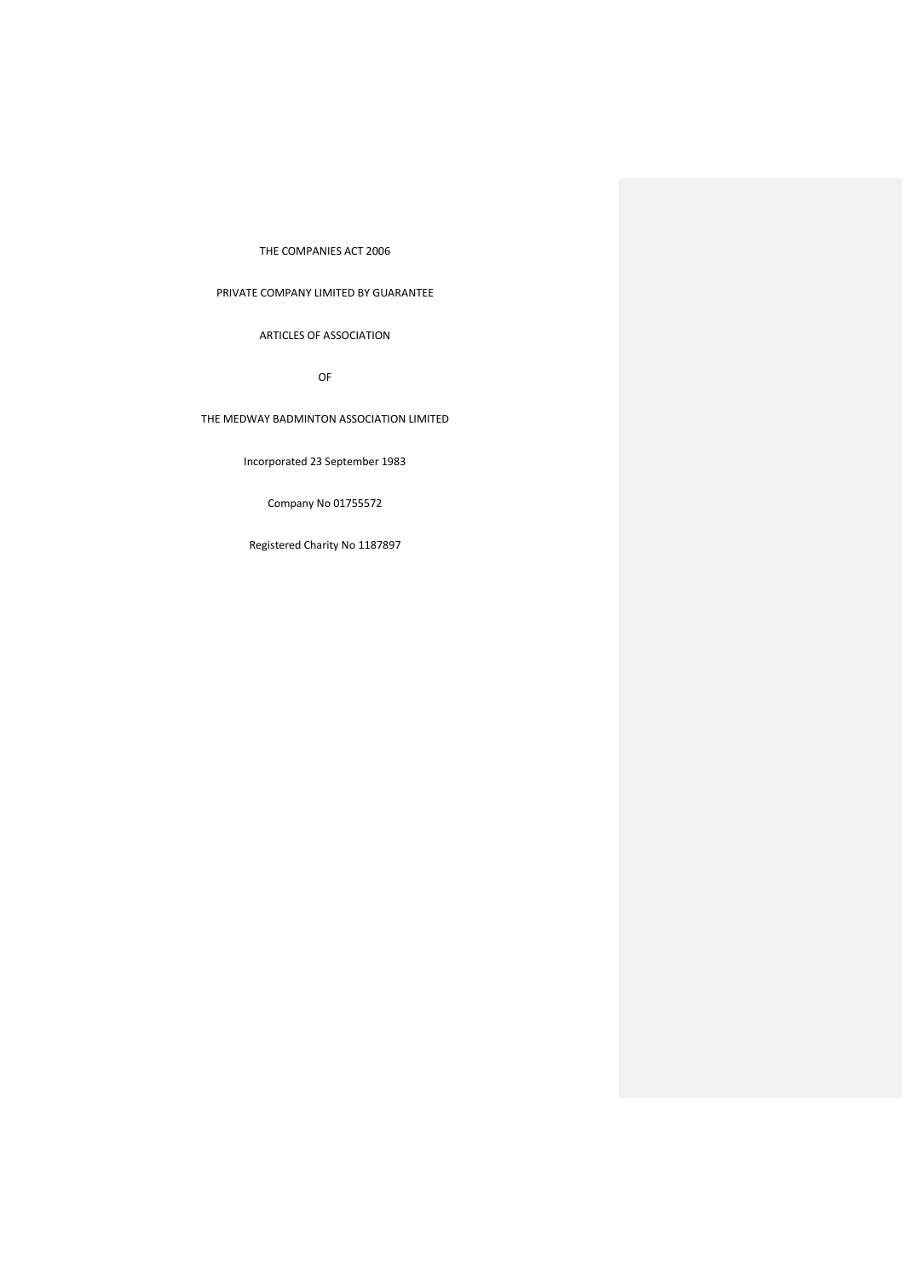### THE COMPANIES ACT 2006

PRIVATE COMPANY LIMITED BY GUARANTEE

ARTICLES OF ASSOCIATION

OF

THE MEDWAY BADMINTON ASSOCIATION LIMITED

Incorporated 23 September 1983

Company No 01755572

Registered Charity No 1187897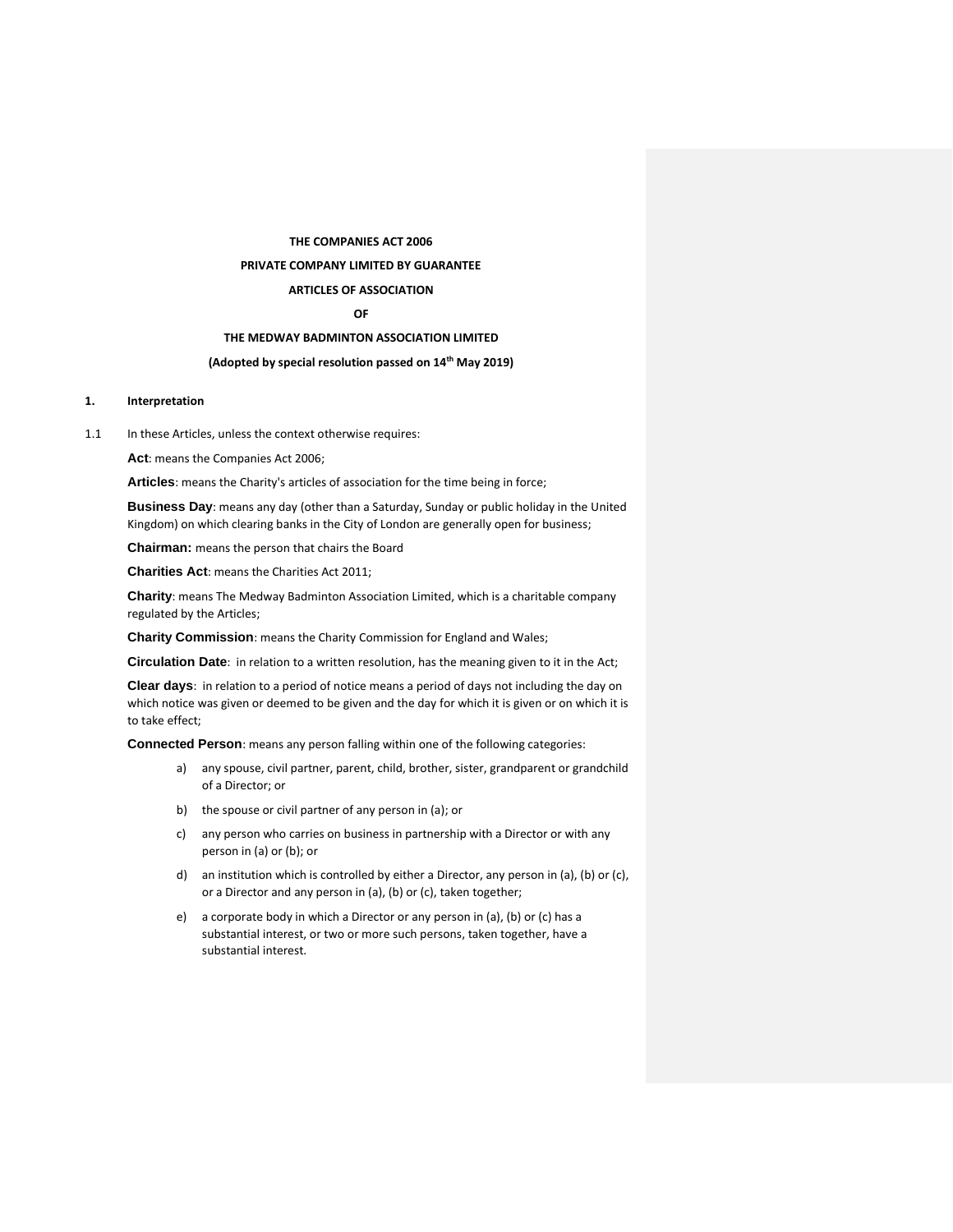# **THE COMPANIES ACT 2006 PRIVATE COMPANY LIMITED BY GUARANTEE**

#### **ARTICLES OF ASSOCIATION**

**OF**

# **THE MEDWAY BADMINTON ASSOCIATION LIMITED**

# **(Adopted by special resolution passed on 14th May 2019)**

### **1. Interpretation**

1.1 In these Articles, unless the context otherwise requires:

**Act**: means the Companies Act 2006;

**Articles**: means the Charity's articles of association for the time being in force;

**Business Day**: means any day (other than a Saturday, Sunday or public holiday in the United Kingdom) on which clearing banks in the City of London are generally open for business;

**Chairman:** means the person that chairs the Board

**Charities Act**: means the Charities Act 2011;

**Charity**: means The Medway Badminton Association Limited, which is a charitable company regulated by the Articles;

**Charity Commission**: means the Charity Commission for England and Wales;

**Circulation Date**: in relation to a written resolution, has the meaning given to it in the Act;

**Clear days**: in relation to a period of notice means a period of days not including the day on which notice was given or deemed to be given and the day for which it is given or on which it is to take effect;

**Connected Person**: means any person falling within one of the following categories:

- a) any spouse, civil partner, parent, child, brother, sister, grandparent or grandchild of a Director; or
- b) the spouse or civil partner of any person in (a); or
- c) any person who carries on business in partnership with a Director or with any person in (a) or (b); or
- d) an institution which is controlled by either a Director, any person in (a), (b) or (c), or a Director and any person in (a), (b) or (c), taken together;
- e) a corporate body in which a Director or any person in (a), (b) or (c) has a substantial interest, or two or more such persons, taken together, have a substantial interest.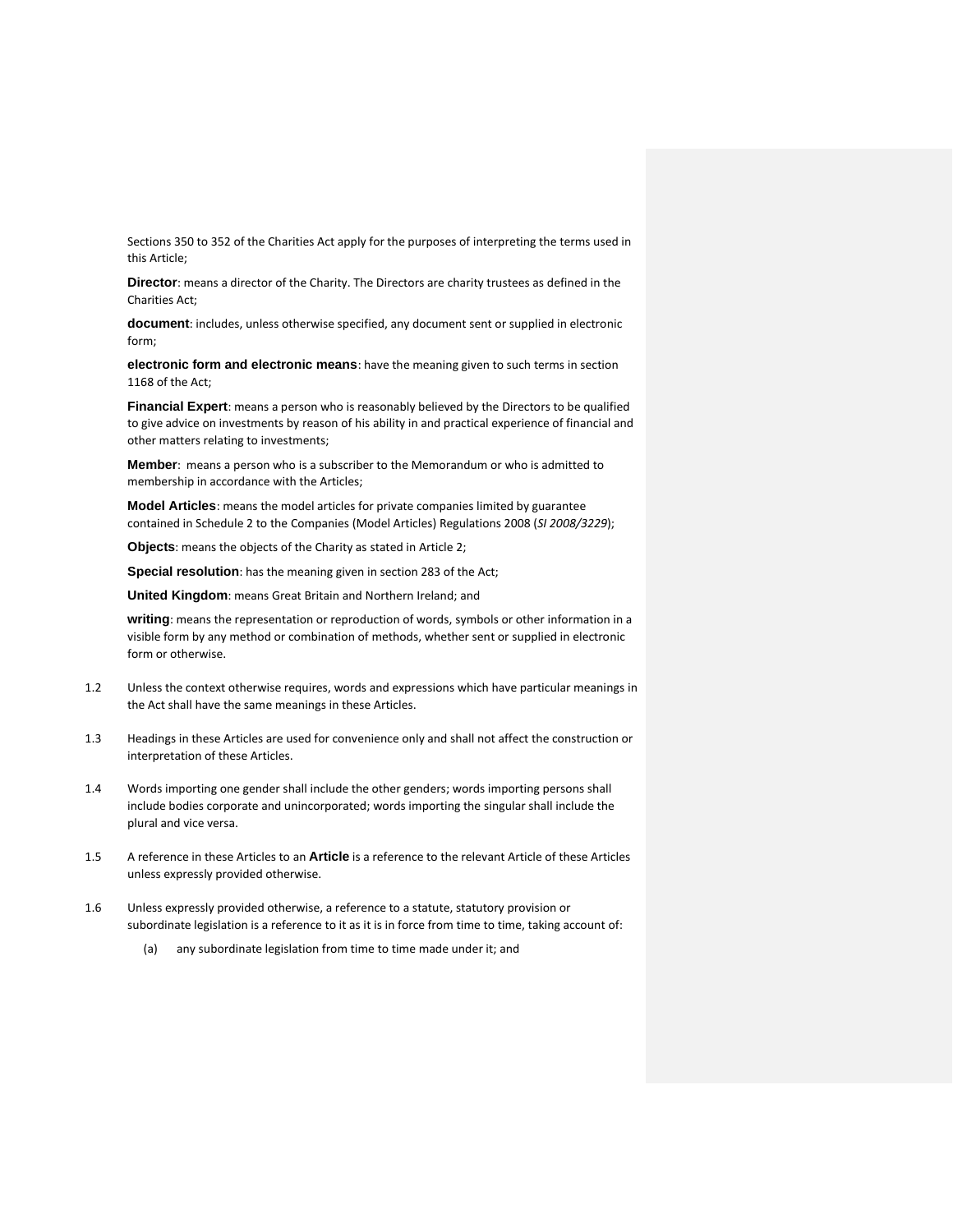Sections 350 to 352 of the Charities Act apply for the purposes of interpreting the terms used in this Article;

**Director**: means a director of the Charity. The Directors are charity trustees as defined in the Charities Act;

**document**: includes, unless otherwise specified, any document sent or supplied in electronic form;

**electronic form and electronic means**: have the meaning given to such terms in section 1168 of the Act;

**Financial Expert**: means a person who is reasonably believed by the Directors to be qualified to give advice on investments by reason of his ability in and practical experience of financial and other matters relating to investments;

**Member**: means a person who is a subscriber to the Memorandum or who is admitted to membership in accordance with the Articles;

**Model Articles**: means the model articles for private companies limited by guarantee contained in Schedule 2 to the Companies (Model Articles) Regulations 2008 (*SI 2008/3229*);

**Objects**: means the objects of the Charity as stated in Article 2;

**Special resolution**: has the meaning given in section 283 of the Act;

**United Kingdom**: means Great Britain and Northern Ireland; and

**writing**: means the representation or reproduction of words, symbols or other information in a visible form by any method or combination of methods, whether sent or supplied in electronic form or otherwise.

- 1.2 Unless the context otherwise requires, words and expressions which have particular meanings in the Act shall have the same meanings in these Articles.
- 1.3 Headings in these Articles are used for convenience only and shall not affect the construction or interpretation of these Articles.
- 1.4 Words importing one gender shall include the other genders; words importing persons shall include bodies corporate and unincorporated; words importing the singular shall include the plural and vice versa.
- 1.5 A reference in these Articles to an **Article** is a reference to the relevant Article of these Articles unless expressly provided otherwise.
- 1.6 Unless expressly provided otherwise, a reference to a statute, statutory provision or subordinate legislation is a reference to it as it is in force from time to time, taking account of:
	- (a) any subordinate legislation from time to time made under it; and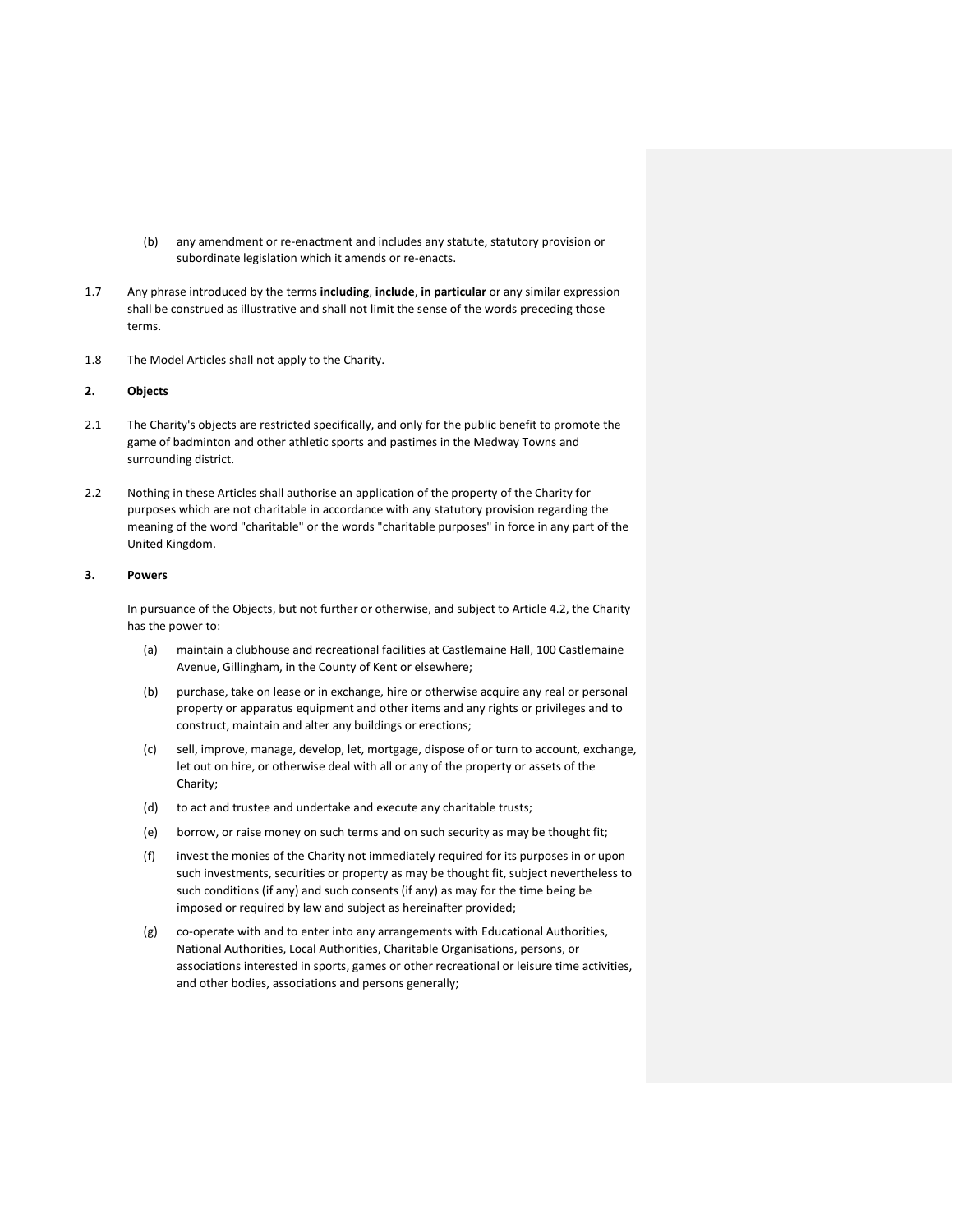- (b) any amendment or re-enactment and includes any statute, statutory provision or subordinate legislation which it amends or re-enacts.
- 1.7 Any phrase introduced by the terms **including**, **include**, **in particular** or any similar expression shall be construed as illustrative and shall not limit the sense of the words preceding those terms.
- 1.8 The Model Articles shall not apply to the Charity.

## **2. Objects**

- 2.1 The Charity's objects are restricted specifically, and only for the public benefit to promote the game of badminton and other athletic sports and pastimes in the Medway Towns and surrounding district.
- 2.2 Nothing in these Articles shall authorise an application of the property of the Charity for purposes which are not charitable in accordance with any statutory provision regarding the meaning of the word "charitable" or the words "charitable purposes" in force in any part of the United Kingdom.

### **3. Powers**

In pursuance of the Objects, but not further or otherwise, and subject to Article 4.2, the Charity has the power to:

- (a) maintain a clubhouse and recreational facilities at Castlemaine Hall, 100 Castlemaine Avenue, Gillingham, in the County of Kent or elsewhere;
- (b) purchase, take on lease or in exchange, hire or otherwise acquire any real or personal property or apparatus equipment and other items and any rights or privileges and to construct, maintain and alter any buildings or erections;
- (c) sell, improve, manage, develop, let, mortgage, dispose of or turn to account, exchange, let out on hire, or otherwise deal with all or any of the property or assets of the Charity;
- (d) to act and trustee and undertake and execute any charitable trusts;
- (e) borrow, or raise money on such terms and on such security as may be thought fit;
- (f) invest the monies of the Charity not immediately required for its purposes in or upon such investments, securities or property as may be thought fit, subject nevertheless to such conditions (if any) and such consents (if any) as may for the time being be imposed or required by law and subject as hereinafter provided;
- (g) co-operate with and to enter into any arrangements with Educational Authorities, National Authorities, Local Authorities, Charitable Organisations, persons, or associations interested in sports, games or other recreational or leisure time activities, and other bodies, associations and persons generally;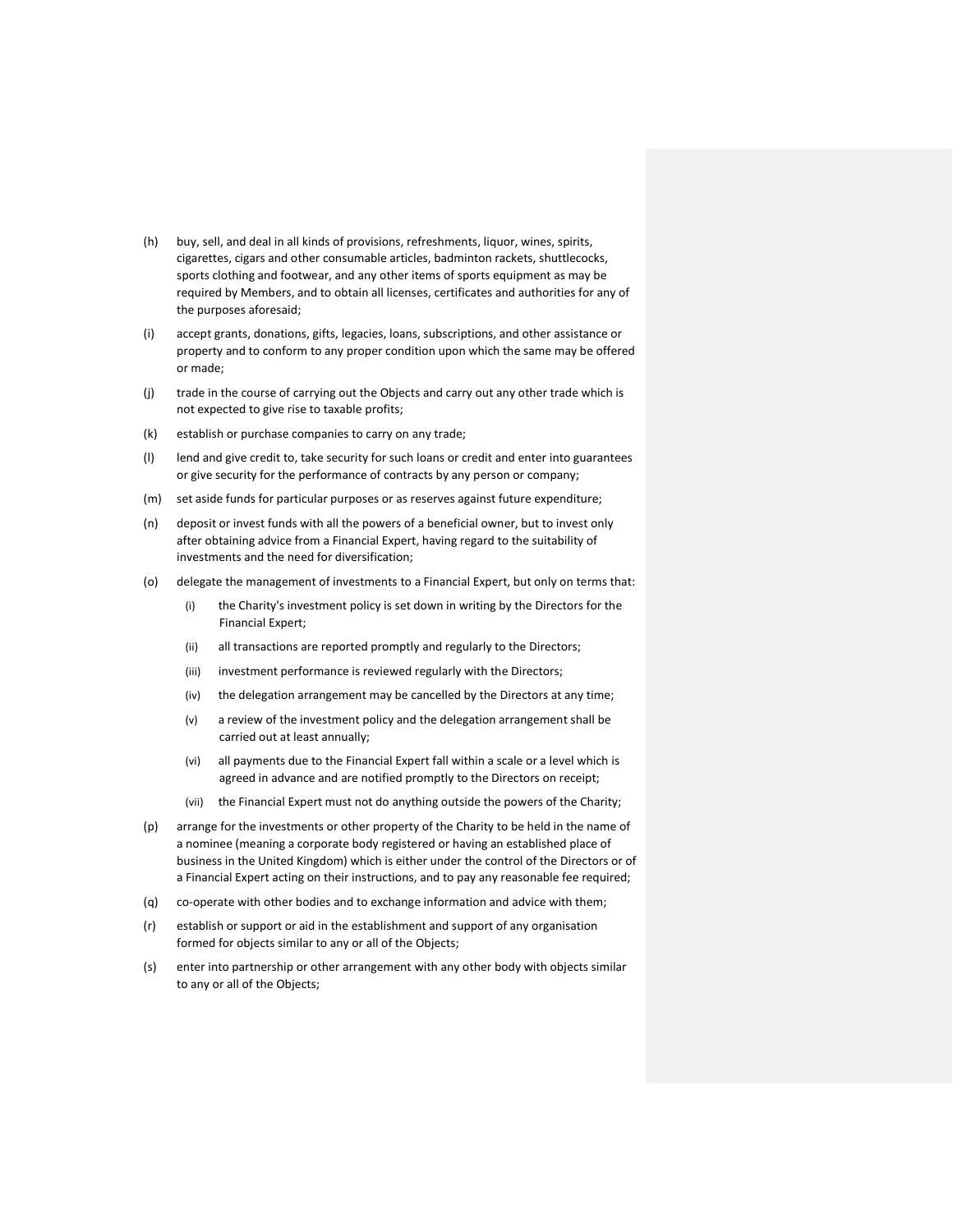- (h) buy, sell, and deal in all kinds of provisions, refreshments, liquor, wines, spirits, cigarettes, cigars and other consumable articles, badminton rackets, shuttlecocks, sports clothing and footwear, and any other items of sports equipment as may be required by Members, and to obtain all licenses, certificates and authorities for any of the purposes aforesaid;
- (i) accept grants, donations, gifts, legacies, loans, subscriptions, and other assistance or property and to conform to any proper condition upon which the same may be offered or made;
- (j) trade in the course of carrying out the Objects and carry out any other trade which is not expected to give rise to taxable profits;
- (k) establish or purchase companies to carry on any trade;
- (l) lend and give credit to, take security for such loans or credit and enter into guarantees or give security for the performance of contracts by any person or company;
- (m) set aside funds for particular purposes or as reserves against future expenditure;
- (n) deposit or invest funds with all the powers of a beneficial owner, but to invest only after obtaining advice from a Financial Expert, having regard to the suitability of investments and the need for diversification;
- (o) delegate the management of investments to a Financial Expert, but only on terms that:
	- (i) the Charity's investment policy is set down in writing by the Directors for the Financial Expert;
	- (ii) all transactions are reported promptly and regularly to the Directors;
	- (iii) investment performance is reviewed regularly with the Directors;
	- (iv) the delegation arrangement may be cancelled by the Directors at any time;
	- (v) a review of the investment policy and the delegation arrangement shall be carried out at least annually;
	- (vi) all payments due to the Financial Expert fall within a scale or a level which is agreed in advance and are notified promptly to the Directors on receipt;
	- (vii) the Financial Expert must not do anything outside the powers of the Charity;
- (p) arrange for the investments or other property of the Charity to be held in the name of a nominee (meaning a corporate body registered or having an established place of business in the United Kingdom) which is either under the control of the Directors or of a Financial Expert acting on their instructions, and to pay any reasonable fee required;
- (q) co-operate with other bodies and to exchange information and advice with them;
- (r) establish or support or aid in the establishment and support of any organisation formed for objects similar to any or all of the Objects;
- (s) enter into partnership or other arrangement with any other body with objects similar to any or all of the Objects;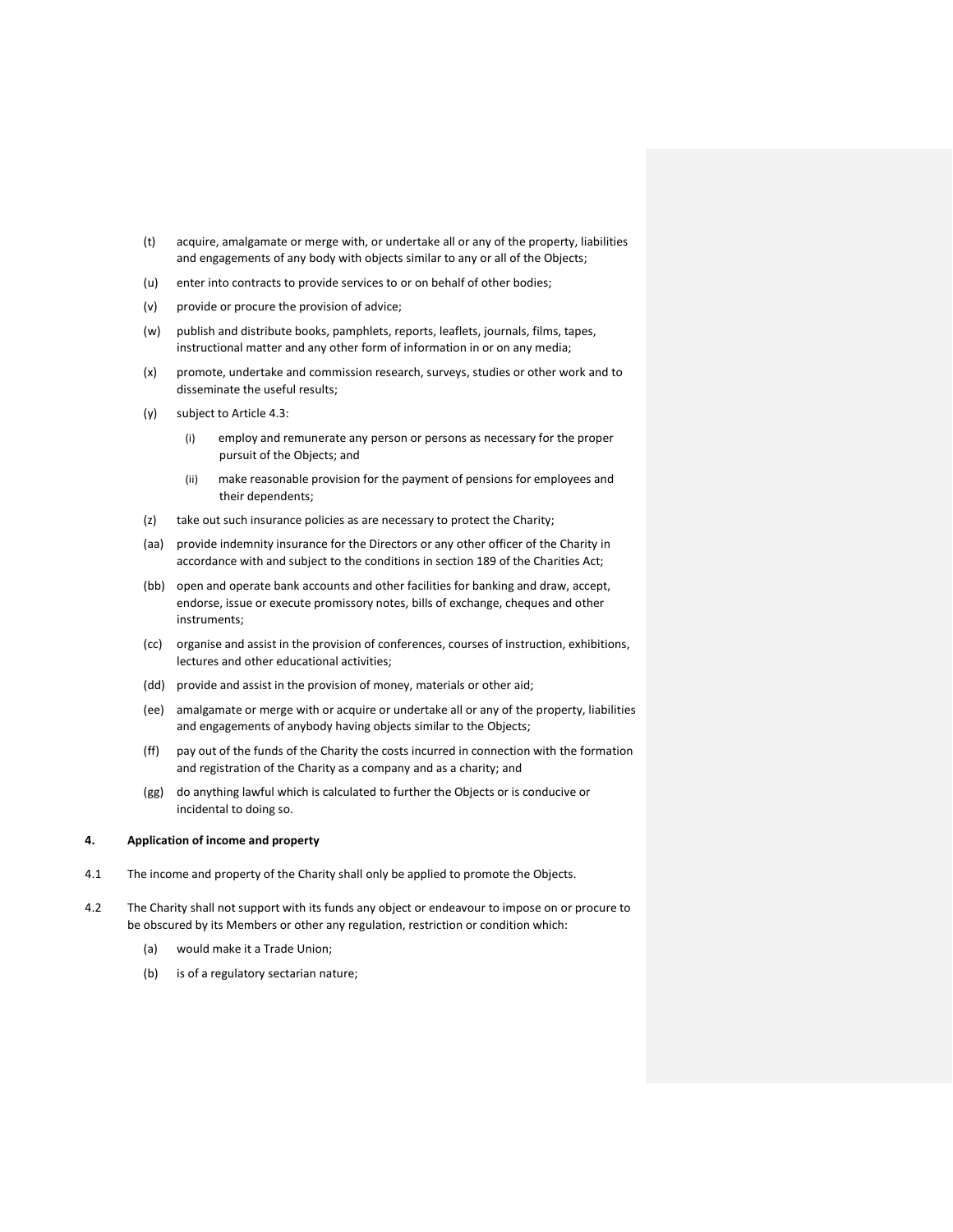- (t) acquire, amalgamate or merge with, or undertake all or any of the property, liabilities and engagements of any body with objects similar to any or all of the Objects;
- (u) enter into contracts to provide services to or on behalf of other bodies;
- (v) provide or procure the provision of advice;
- (w) publish and distribute books, pamphlets, reports, leaflets, journals, films, tapes, instructional matter and any other form of information in or on any media;
- (x) promote, undertake and commission research, surveys, studies or other work and to disseminate the useful results;
- (y) subject to Article 4.3:
	- (i) employ and remunerate any person or persons as necessary for the proper pursuit of the Objects; and
	- (ii) make reasonable provision for the payment of pensions for employees and their dependents;
- (z) take out such insurance policies as are necessary to protect the Charity;
- (aa) provide indemnity insurance for the Directors or any other officer of the Charity in accordance with and subject to the conditions in section 189 of the Charities Act;
- (bb) open and operate bank accounts and other facilities for banking and draw, accept, endorse, issue or execute promissory notes, bills of exchange, cheques and other instruments;
- (cc) organise and assist in the provision of conferences, courses of instruction, exhibitions, lectures and other educational activities;
- (dd) provide and assist in the provision of money, materials or other aid;
- (ee) amalgamate or merge with or acquire or undertake all or any of the property, liabilities and engagements of anybody having objects similar to the Objects;
- (ff) pay out of the funds of the Charity the costs incurred in connection with the formation and registration of the Charity as a company and as a charity; and
- (gg) do anything lawful which is calculated to further the Objects or is conducive or incidental to doing so.

#### **4. Application of income and property**

- 4.1 The income and property of the Charity shall only be applied to promote the Objects.
- 4.2 The Charity shall not support with its funds any object or endeavour to impose on or procure to be obscured by its Members or other any regulation, restriction or condition which:
	- (a) would make it a Trade Union;
	- (b) is of a regulatory sectarian nature;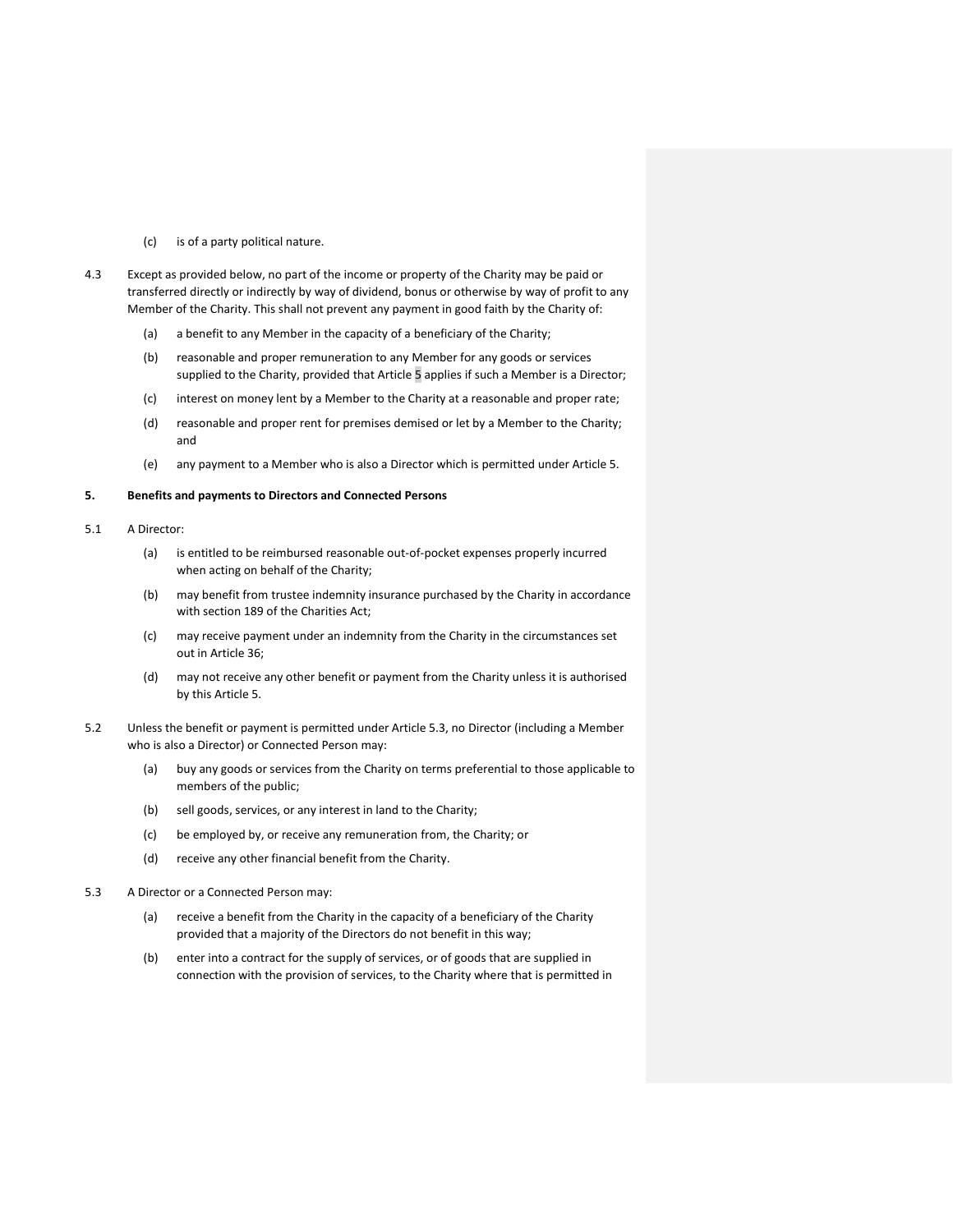- (c) is of a party political nature.
- 4.3 Except as provided below, no part of the income or property of the Charity may be paid or transferred directly or indirectly by way of dividend, bonus or otherwise by way of profit to any Member of the Charity. This shall not prevent any payment in good faith by the Charity of:
	- (a) a benefit to any Member in the capacity of a beneficiary of the Charity;
	- (b) reasonable and proper remuneration to any Member for any goods or services supplied to the Charity, provided that Article [5](#page-6-0) applies if such a Member is a Director;
	- (c) interest on money lent by a Member to the Charity at a reasonable and proper rate;
	- (d) reasonable and proper rent for premises demised or let by a Member to the Charity; and
	- (e) any payment to a Member who is also a Director which is permitted under Article 5.

### <span id="page-6-0"></span>**5. Benefits and payments to Directors and Connected Persons**

### 5.1 A Director:

- (a) is entitled to be reimbursed reasonable out-of-pocket expenses properly incurred when acting on behalf of the Charity;
- (b) may benefit from trustee indemnity insurance purchased by the Charity in accordance with section 189 of the Charities Act;
- (c) may receive payment under an indemnity from the Charity in the circumstances set out in Article 36;
- (d) may not receive any other benefit or payment from the Charity unless it is authorised by this Article 5.
- 5.2 Unless the benefit or payment is permitted under Article 5.3, no Director (including a Member who is also a Director) or Connected Person may:
	- (a) buy any goods or services from the Charity on terms preferential to those applicable to members of the public;
	- (b) sell goods, services, or any interest in land to the Charity;
	- (c) be employed by, or receive any remuneration from, the Charity; or
	- (d) receive any other financial benefit from the Charity.
- 5.3 A Director or a Connected Person may:
	- (a) receive a benefit from the Charity in the capacity of a beneficiary of the Charity provided that a majority of the Directors do not benefit in this way;
	- (b) enter into a contract for the supply of services, or of goods that are supplied in connection with the provision of services, to the Charity where that is permitted in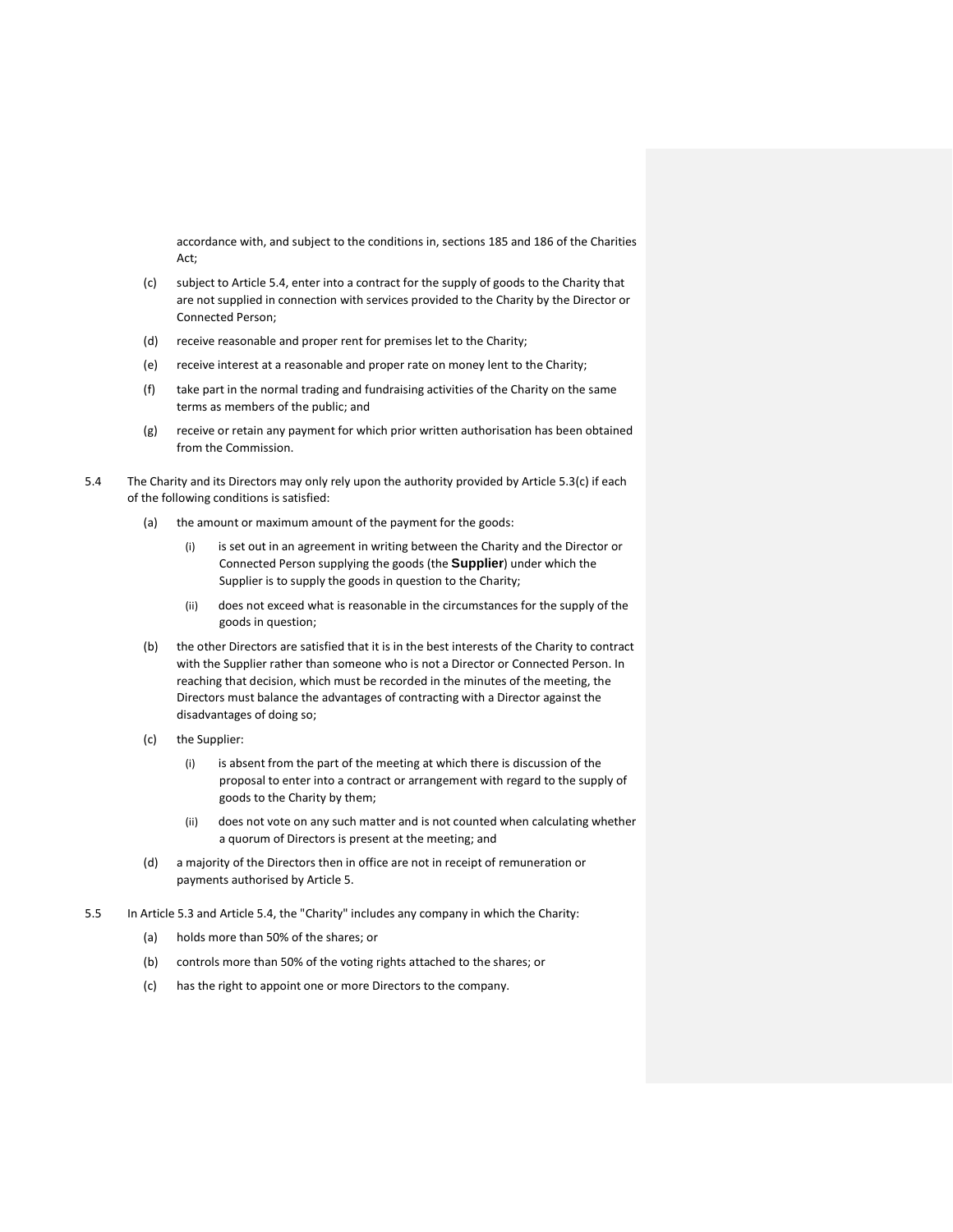accordance with, and subject to the conditions in, sections 185 and 186 of the Charities Act;

- (c) subject to Article 5.4, enter into a contract for the supply of goods to the Charity that are not supplied in connection with services provided to the Charity by the Director or Connected Person;
- (d) receive reasonable and proper rent for premises let to the Charity;
- (e) receive interest at a reasonable and proper rate on money lent to the Charity;
- (f) take part in the normal trading and fundraising activities of the Charity on the same terms as members of the public; and
- (g) receive or retain any payment for which prior written authorisation has been obtained from the Commission.
- 5.4 The Charity and its Directors may only rely upon the authority provided by Article 5.3(c) if each of the following conditions is satisfied:
	- (a) the amount or maximum amount of the payment for the goods:
		- (i) is set out in an agreement in writing between the Charity and the Director or Connected Person supplying the goods (the **Supplier**) under which the Supplier is to supply the goods in question to the Charity;
		- (ii) does not exceed what is reasonable in the circumstances for the supply of the goods in question;
	- (b) the other Directors are satisfied that it is in the best interests of the Charity to contract with the Supplier rather than someone who is not a Director or Connected Person. In reaching that decision, which must be recorded in the minutes of the meeting, the Directors must balance the advantages of contracting with a Director against the disadvantages of doing so;
	- (c) the Supplier:
		- (i) is absent from the part of the meeting at which there is discussion of the proposal to enter into a contract or arrangement with regard to the supply of goods to the Charity by them;
		- (ii) does not vote on any such matter and is not counted when calculating whether a quorum of Directors is present at the meeting; and
	- (d) a majority of the Directors then in office are not in receipt of remuneration or payments authorised by Article 5.
- 5.5 In Article 5.3 and Article 5.4, the "Charity" includes any company in which the Charity:
	- (a) holds more than 50% of the shares; or
	- (b) controls more than 50% of the voting rights attached to the shares; or
	- (c) has the right to appoint one or more Directors to the company.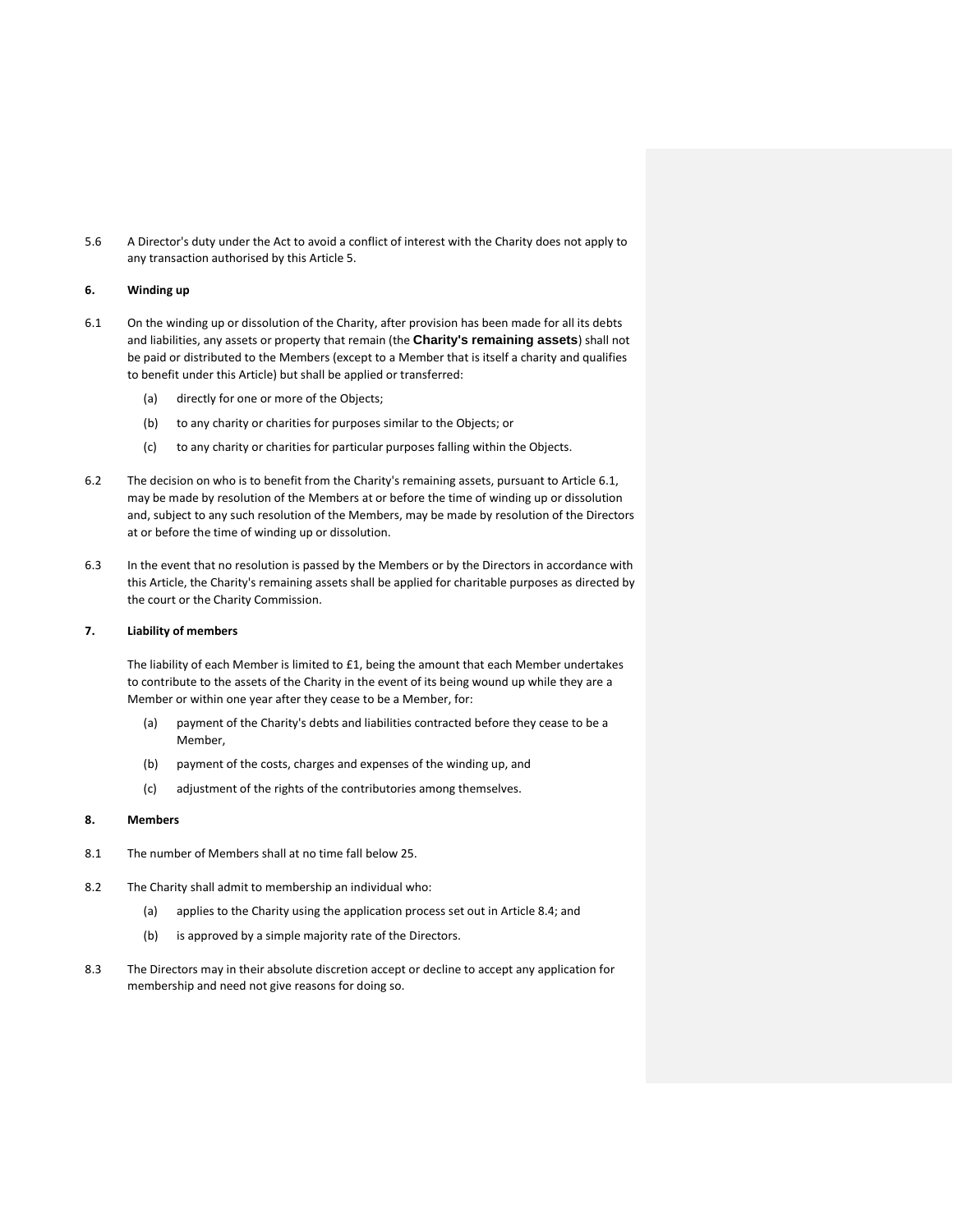5.6 A Director's duty under the Act to avoid a conflict of interest with the Charity does not apply to any transaction authorised by this Article 5.

### **6. Winding up**

- 6.1 On the winding up or dissolution of the Charity, after provision has been made for all its debts and liabilities, any assets or property that remain (the **Charity's remaining assets**) shall not be paid or distributed to the Members (except to a Member that is itself a charity and qualifies to benefit under this Article) but shall be applied or transferred:
	- (a) directly for one or more of the Objects;
	- (b) to any charity or charities for purposes similar to the Objects; or
	- (c) to any charity or charities for particular purposes falling within the Objects.
- 6.2 The decision on who is to benefit from the Charity's remaining assets, pursuant to Article 6.1, may be made by resolution of the Members at or before the time of winding up or dissolution and, subject to any such resolution of the Members, may be made by resolution of the Directors at or before the time of winding up or dissolution.
- 6.3 In the event that no resolution is passed by the Members or by the Directors in accordance with this Article, the Charity's remaining assets shall be applied for charitable purposes as directed by the court or the Charity Commission.

### **7. Liability of members**

The liability of each Member is limited to £1, being the amount that each Member undertakes to contribute to the assets of the Charity in the event of its being wound up while they are a Member or within one year after they cease to be a Member, for:

- (a) payment of the Charity's debts and liabilities contracted before they cease to be a Member,
- (b) payment of the costs, charges and expenses of the winding up, and
- (c) adjustment of the rights of the contributories among themselves.

### **8. Members**

- 8.1 The number of Members shall at no time fall below 25.
- 8.2 The Charity shall admit to membership an individual who:
	- (a) applies to the Charity using the application process set out in Article 8.4; and
	- (b) is approved by a simple majority rate of the Directors.
- 8.3 The Directors may in their absolute discretion accept or decline to accept any application for membership and need not give reasons for doing so.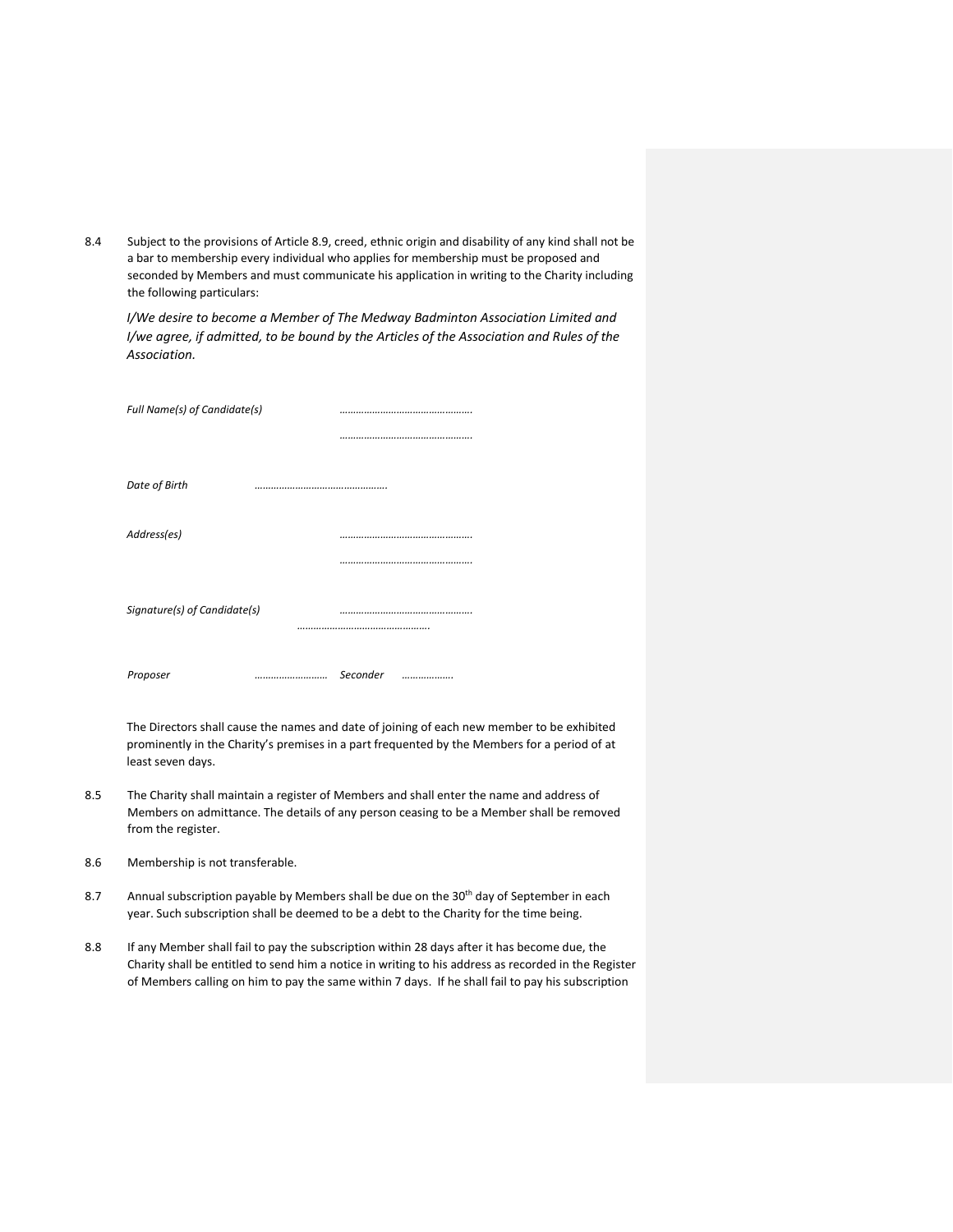8.4 Subject to the provisions of Article 8.9, creed, ethnic origin and disability of any kind shall not be a bar to membership every individual who applies for membership must be proposed and seconded by Members and must communicate his application in writing to the Charity including the following particulars:

*I/We desire to become a Member of The Medway Badminton Association Limited and I/we agree, if admitted, to be bound by the Articles of the Association and Rules of the Association.*

| Full Name(s) of Candidate(s) |  |              |
|------------------------------|--|--------------|
|                              |  |              |
| Date of Birth                |  |              |
| Address(es)                  |  |              |
|                              |  |              |
| Signature(s) of Candidate(s) |  | <br>.        |
| Proposer                     |  | Seconder<br> |

The Directors shall cause the names and date of joining of each new member to be exhibited prominently in the Charity's premises in a part frequented by the Members for a period of at least seven days.

- 8.5 The Charity shall maintain a register of Members and shall enter the name and address of Members on admittance. The details of any person ceasing to be a Member shall be removed from the register.
- 8.6 Membership is not transferable.
- 8.7 Annual subscription payable by Members shall be due on the 30<sup>th</sup> day of September in each year. Such subscription shall be deemed to be a debt to the Charity for the time being.
- 8.8 If any Member shall fail to pay the subscription within 28 days after it has become due, the Charity shall be entitled to send him a notice in writing to his address as recorded in the Register of Members calling on him to pay the same within 7 days. If he shall fail to pay his subscription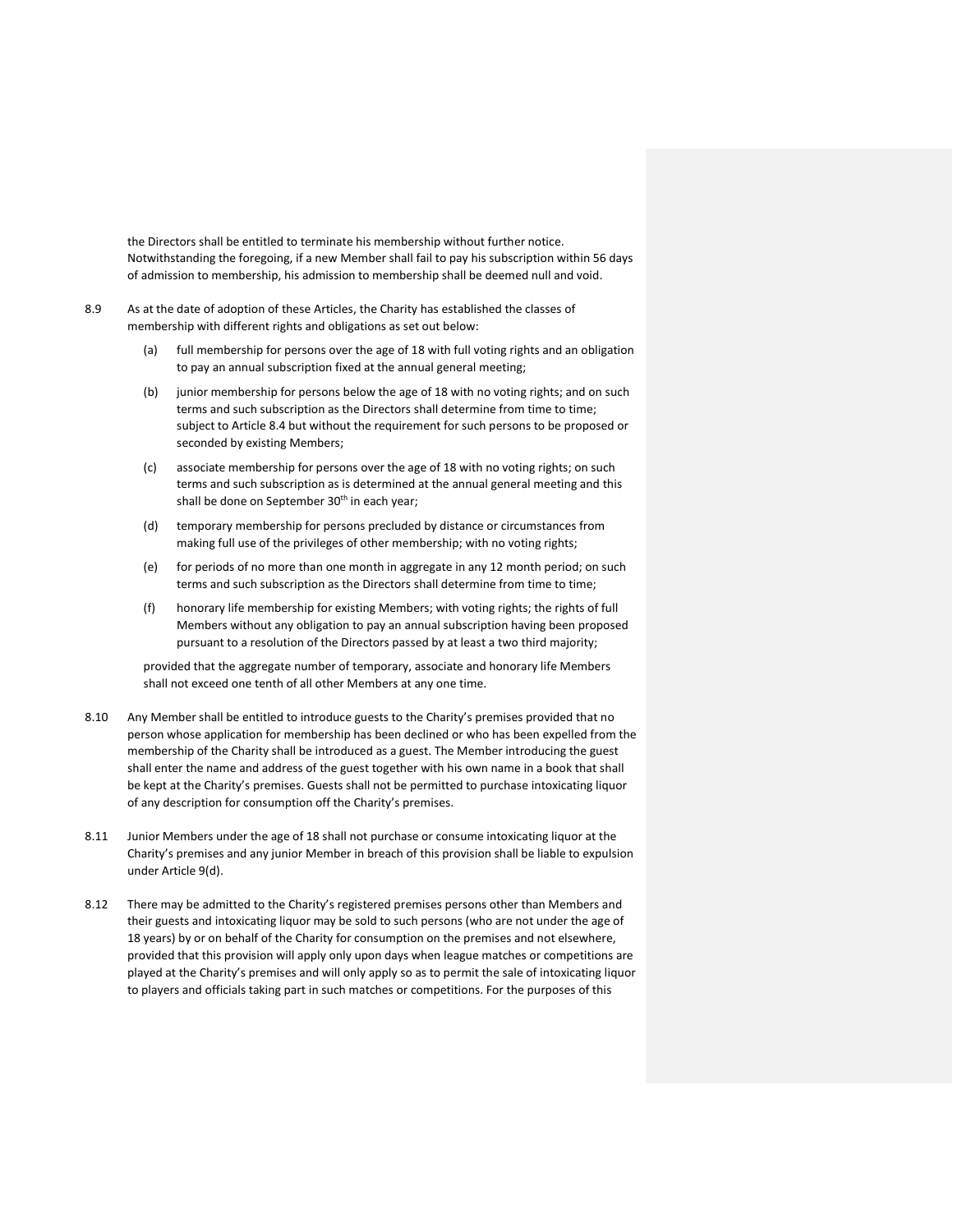the Directors shall be entitled to terminate his membership without further notice. Notwithstanding the foregoing, if a new Member shall fail to pay his subscription within 56 days of admission to membership, his admission to membership shall be deemed null and void.

- 8.9 As at the date of adoption of these Articles, the Charity has established the classes of membership with different rights and obligations as set out below:
	- (a) full membership for persons over the age of 18 with full voting rights and an obligation to pay an annual subscription fixed at the annual general meeting;
	- (b) junior membership for persons below the age of 18 with no voting rights; and on such terms and such subscription as the Directors shall determine from time to time; subject to Article 8.4 but without the requirement for such persons to be proposed or seconded by existing Members;
	- (c) associate membership for persons over the age of 18 with no voting rights; on such terms and such subscription as is determined at the annual general meeting and this shall be done on September 30<sup>th</sup> in each year;
	- (d) temporary membership for persons precluded by distance or circumstances from making full use of the privileges of other membership; with no voting rights;
	- (e) for periods of no more than one month in aggregate in any 12 month period; on such terms and such subscription as the Directors shall determine from time to time;
	- (f) honorary life membership for existing Members; with voting rights; the rights of full Members without any obligation to pay an annual subscription having been proposed pursuant to a resolution of the Directors passed by at least a two third majority;

provided that the aggregate number of temporary, associate and honorary life Members shall not exceed one tenth of all other Members at any one time.

- 8.10 Any Member shall be entitled to introduce guests to the Charity's premises provided that no person whose application for membership has been declined or who has been expelled from the membership of the Charity shall be introduced as a guest. The Member introducing the guest shall enter the name and address of the guest together with his own name in a book that shall be kept at the Charity's premises. Guests shall not be permitted to purchase intoxicating liquor of any description for consumption off the Charity's premises.
- 8.11 Junior Members under the age of 18 shall not purchase or consume intoxicating liquor at the Charity's premises and any junior Member in breach of this provision shall be liable to expulsion under Article 9(d).
- 8.12 There may be admitted to the Charity's registered premises persons other than Members and their guests and intoxicating liquor may be sold to such persons (who are not under the age of 18 years) by or on behalf of the Charity for consumption on the premises and not elsewhere, provided that this provision will apply only upon days when league matches or competitions are played at the Charity's premises and will only apply so as to permit the sale of intoxicating liquor to players and officials taking part in such matches or competitions. For the purposes of this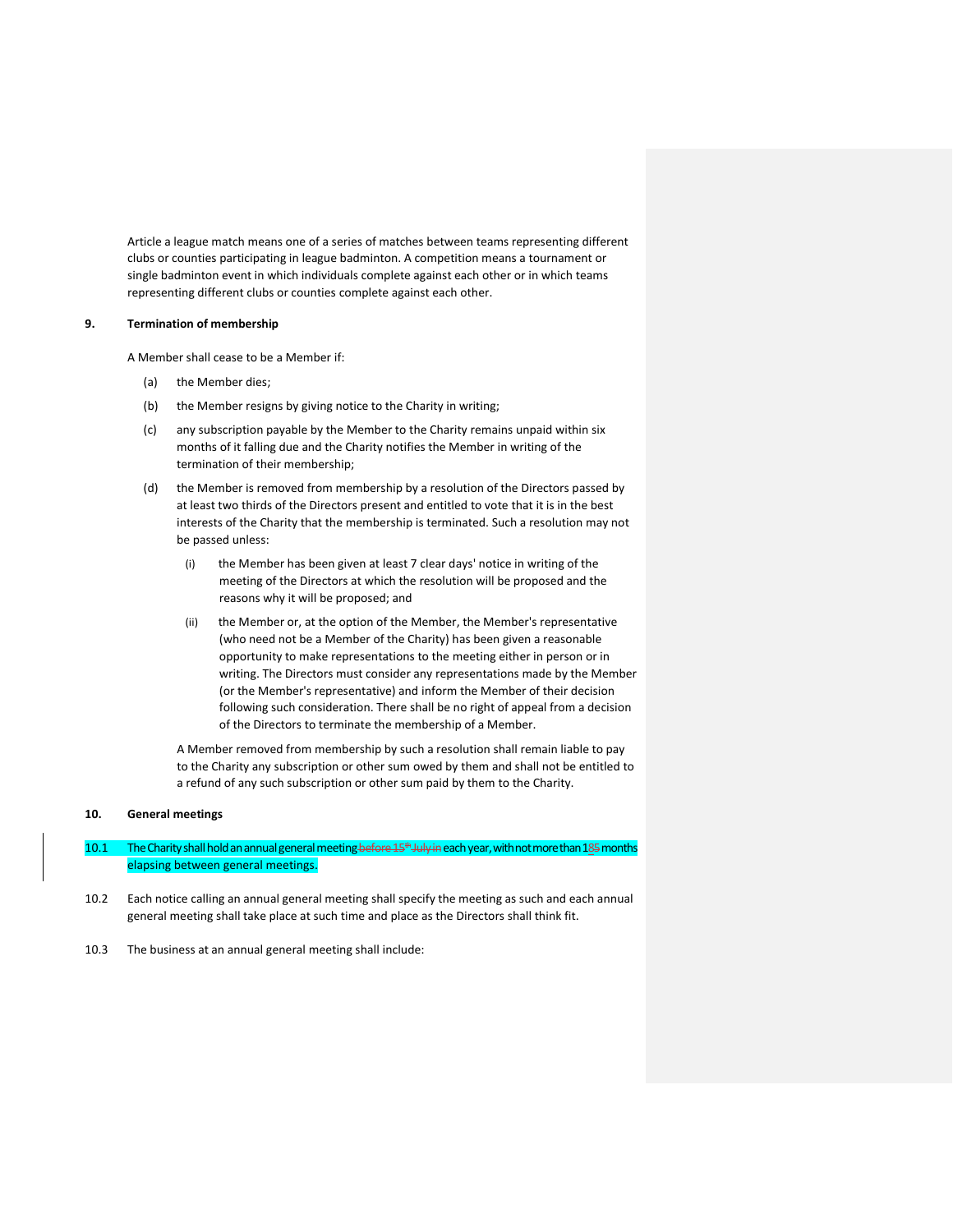Article a league match means one of a series of matches between teams representing different clubs or counties participating in league badminton. A competition means a tournament or single badminton event in which individuals complete against each other or in which teams representing different clubs or counties complete against each other.

### **9. Termination of membership**

A Member shall cease to be a Member if:

- (a) the Member dies;
- (b) the Member resigns by giving notice to the Charity in writing;
- (c) any subscription payable by the Member to the Charity remains unpaid within six months of it falling due and the Charity notifies the Member in writing of the termination of their membership;
- (d) the Member is removed from membership by a resolution of the Directors passed by at least two thirds of the Directors present and entitled to vote that it is in the best interests of the Charity that the membership is terminated. Such a resolution may not be passed unless:
	- (i) the Member has been given at least 7 clear days' notice in writing of the meeting of the Directors at which the resolution will be proposed and the reasons why it will be proposed; and
	- (ii) the Member or, at the option of the Member, the Member's representative (who need not be a Member of the Charity) has been given a reasonable opportunity to make representations to the meeting either in person or in writing. The Directors must consider any representations made by the Member (or the Member's representative) and inform the Member of their decision following such consideration. There shall be no right of appeal from a decision of the Directors to terminate the membership of a Member.

A Member removed from membership by such a resolution shall remain liable to pay to the Charity any subscription or other sum owed by them and shall not be entitled to a refund of any such subscription or other sum paid by them to the Charity.

### **10. General meetings**

# 10.1 The Charity shall hold an annual general meeting before 15<sup>th</sup> July in each year, with not more than 185 months elapsing between general meetings.

- 10.2 Each notice calling an annual general meeting shall specify the meeting as such and each annual general meeting shall take place at such time and place as the Directors shall think fit.
- 10.3 The business at an annual general meeting shall include: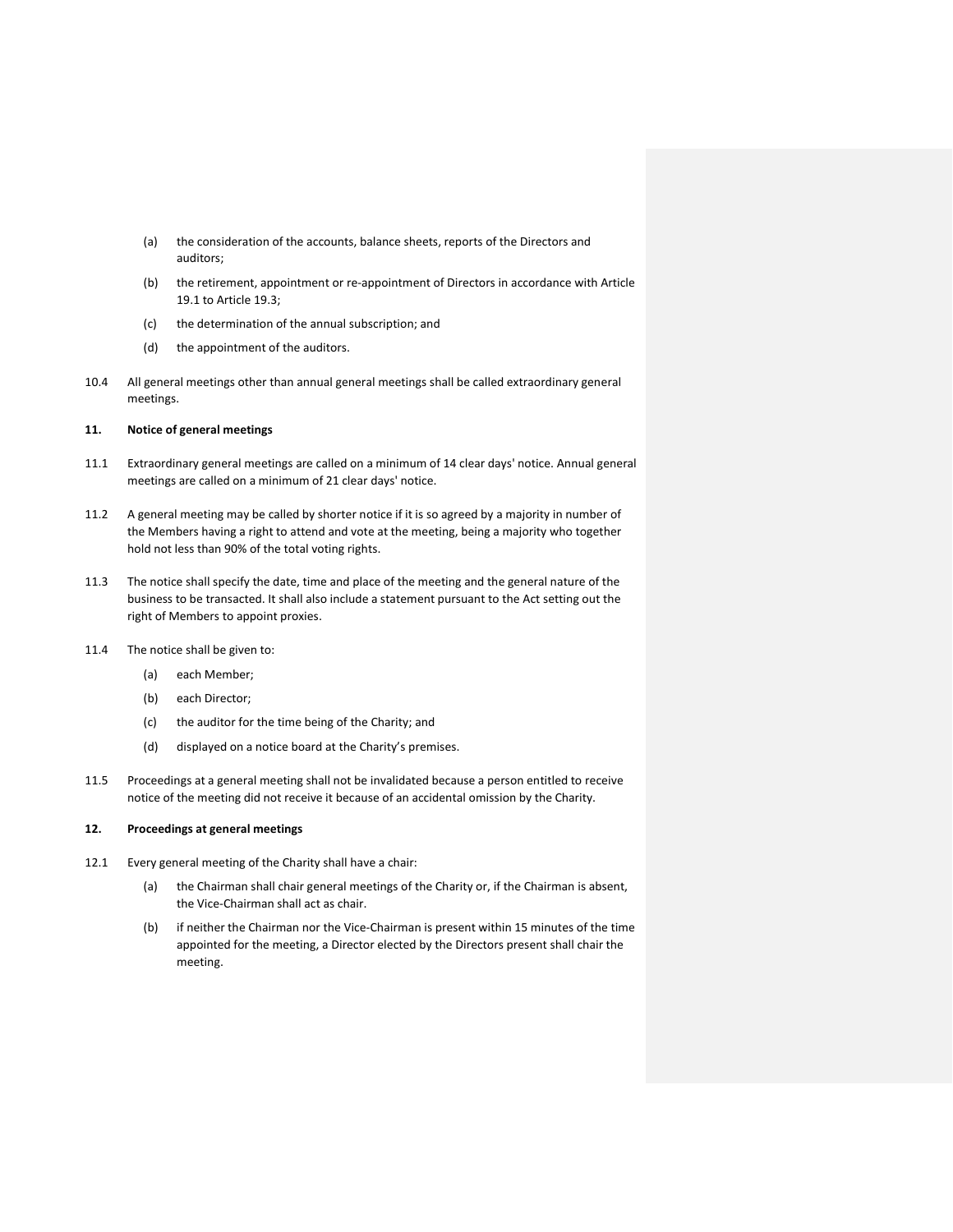- (a) the consideration of the accounts, balance sheets, reports of the Directors and auditors;
- (b) the retirement, appointment or re-appointment of Directors in accordance with Article 19.1 to Article 19.3;
- (c) the determination of the annual subscription; and
- (d) the appointment of the auditors.
- 10.4 All general meetings other than annual general meetings shall be called extraordinary general meetings.

### **11. Notice of general meetings**

- 11.1 Extraordinary general meetings are called on a minimum of 14 clear days' notice. Annual general meetings are called on a minimum of 21 clear days' notice.
- 11.2 A general meeting may be called by shorter notice if it is so agreed by a majority in number of the Members having a right to attend and vote at the meeting, being a majority who together hold not less than 90% of the total voting rights.
- 11.3 The notice shall specify the date, time and place of the meeting and the general nature of the business to be transacted. It shall also include a statement pursuant to the Act setting out the right of Members to appoint proxies.
- 11.4 The notice shall be given to:
	- (a) each Member;
	- (b) each Director;
	- (c) the auditor for the time being of the Charity; and
	- (d) displayed on a notice board at the Charity's premises.
- 11.5 Proceedings at a general meeting shall not be invalidated because a person entitled to receive notice of the meeting did not receive it because of an accidental omission by the Charity.

### **12. Proceedings at general meetings**

- 12.1 Every general meeting of the Charity shall have a chair:
	- (a) the Chairman shall chair general meetings of the Charity or, if the Chairman is absent, the Vice-Chairman shall act as chair.
	- (b) if neither the Chairman nor the Vice-Chairman is present within 15 minutes of the time appointed for the meeting, a Director elected by the Directors present shall chair the meeting.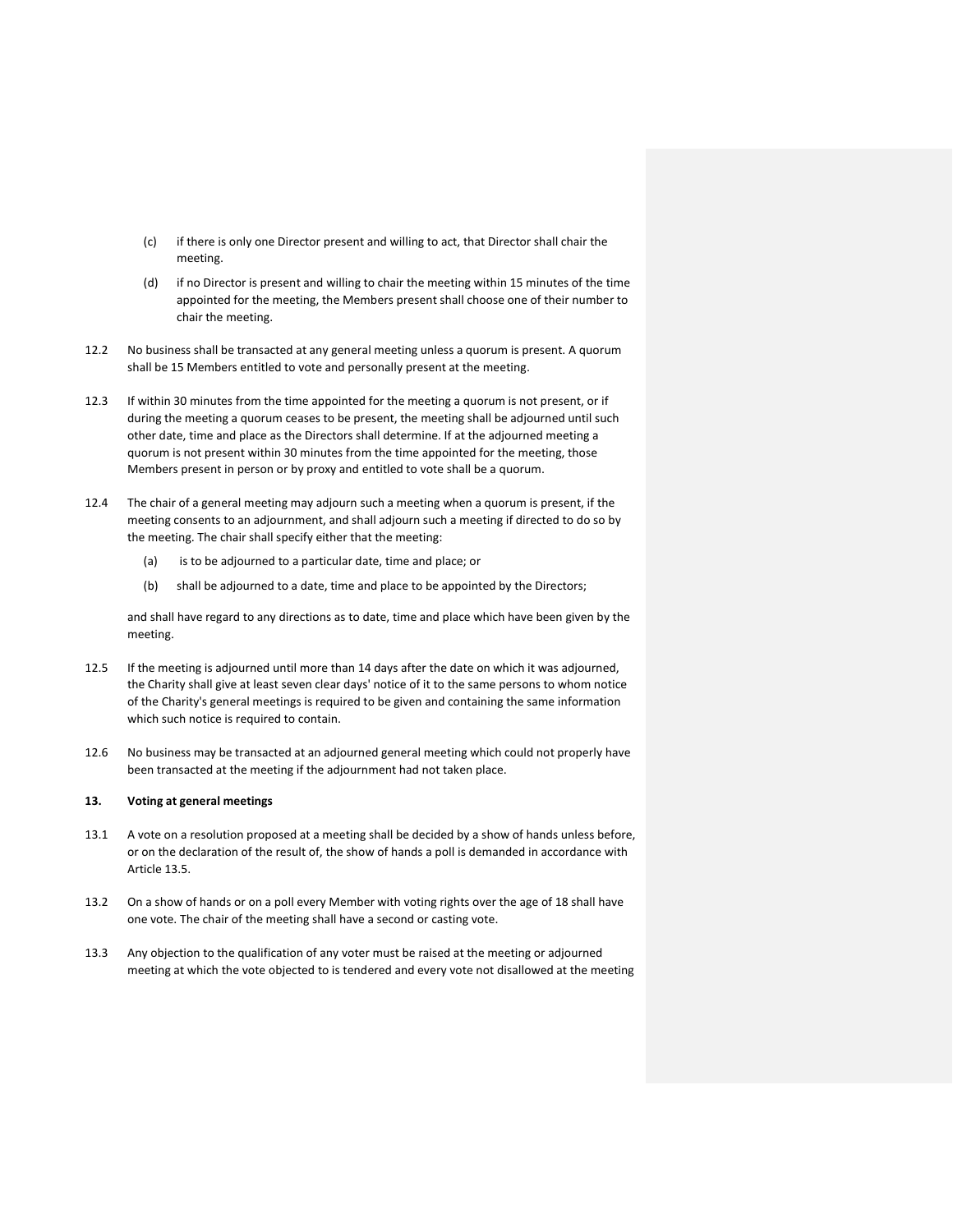- (c) if there is only one Director present and willing to act, that Director shall chair the meeting.
- (d) if no Director is present and willing to chair the meeting within 15 minutes of the time appointed for the meeting, the Members present shall choose one of their number to chair the meeting.
- 12.2 No business shall be transacted at any general meeting unless a quorum is present. A quorum shall be 15 Members entitled to vote and personally present at the meeting.
- 12.3 If within 30 minutes from the time appointed for the meeting a quorum is not present, or if during the meeting a quorum ceases to be present, the meeting shall be adjourned until such other date, time and place as the Directors shall determine. If at the adjourned meeting a quorum is not present within 30 minutes from the time appointed for the meeting, those Members present in person or by proxy and entitled to vote shall be a quorum.
- 12.4 The chair of a general meeting may adjourn such a meeting when a quorum is present, if the meeting consents to an adjournment, and shall adjourn such a meeting if directed to do so by the meeting. The chair shall specify either that the meeting:
	- (a) is to be adjourned to a particular date, time and place; or
	- (b) shall be adjourned to a date, time and place to be appointed by the Directors;

and shall have regard to any directions as to date, time and place which have been given by the meeting.

- 12.5 If the meeting is adjourned until more than 14 days after the date on which it was adjourned, the Charity shall give at least seven clear days' notice of it to the same persons to whom notice of the Charity's general meetings is required to be given and containing the same information which such notice is required to contain.
- 12.6 No business may be transacted at an adjourned general meeting which could not properly have been transacted at the meeting if the adjournment had not taken place.

#### **13. Voting at general meetings**

- 13.1 A vote on a resolution proposed at a meeting shall be decided by a show of hands unless before, or on the declaration of the result of, the show of hands a poll is demanded in accordance with Article 13.5.
- 13.2 On a show of hands or on a poll every Member with voting rights over the age of 18 shall have one vote. The chair of the meeting shall have a second or casting vote.
- 13.3 Any objection to the qualification of any voter must be raised at the meeting or adjourned meeting at which the vote objected to is tendered and every vote not disallowed at the meeting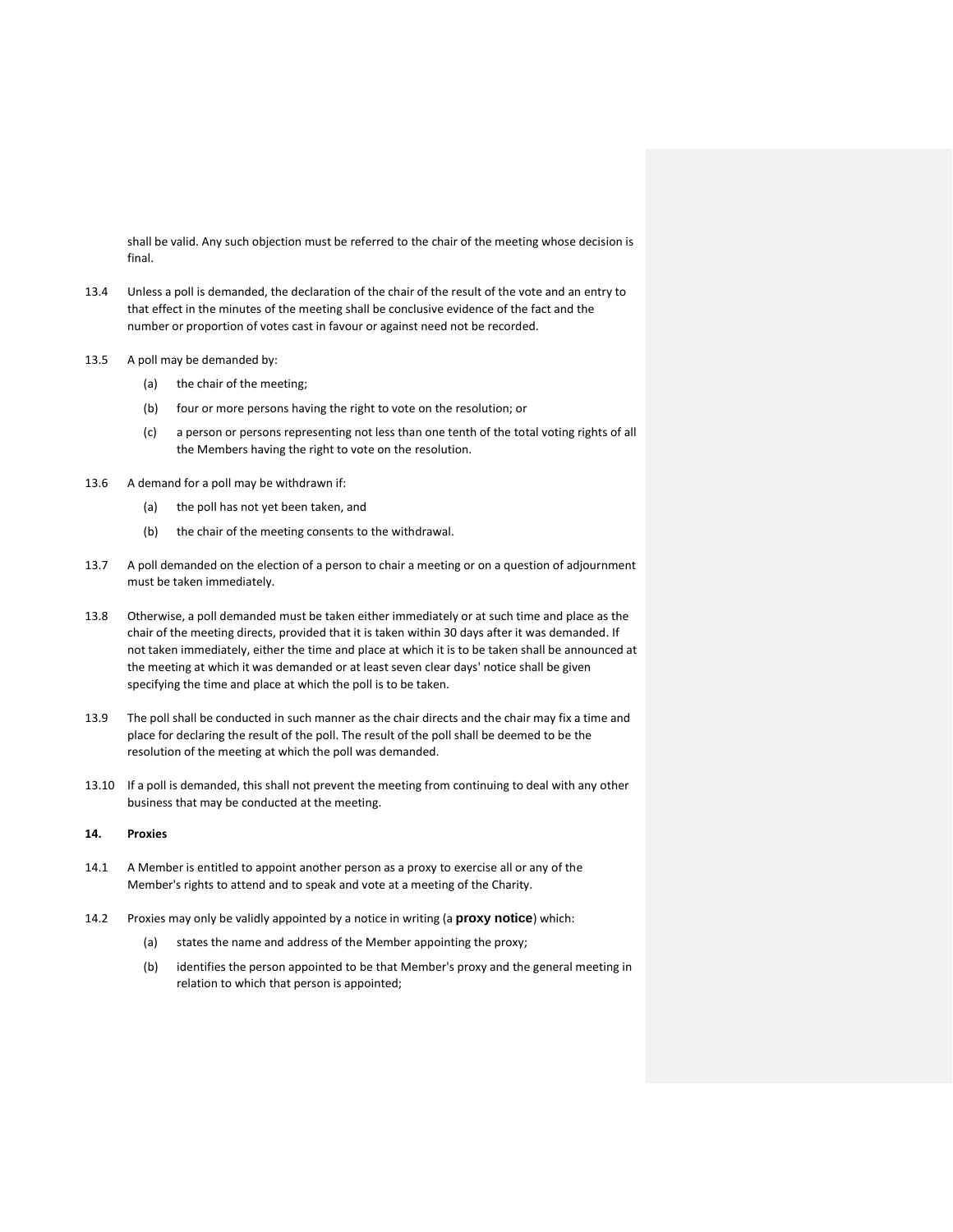shall be valid. Any such objection must be referred to the chair of the meeting whose decision is final.

- 13.4 Unless a poll is demanded, the declaration of the chair of the result of the vote and an entry to that effect in the minutes of the meeting shall be conclusive evidence of the fact and the number or proportion of votes cast in favour or against need not be recorded.
- 13.5 A poll may be demanded by:
	- (a) the chair of the meeting;
	- (b) four or more persons having the right to vote on the resolution; or
	- (c) a person or persons representing not less than one tenth of the total voting rights of all the Members having the right to vote on the resolution.
- 13.6 A demand for a poll may be withdrawn if:
	- (a) the poll has not yet been taken, and
	- (b) the chair of the meeting consents to the withdrawal.
- 13.7 A poll demanded on the election of a person to chair a meeting or on a question of adjournment must be taken immediately.
- 13.8 Otherwise, a poll demanded must be taken either immediately or at such time and place as the chair of the meeting directs, provided that it is taken within 30 days after it was demanded. If not taken immediately, either the time and place at which it is to be taken shall be announced at the meeting at which it was demanded or at least seven clear days' notice shall be given specifying the time and place at which the poll is to be taken.
- 13.9 The poll shall be conducted in such manner as the chair directs and the chair may fix a time and place for declaring the result of the poll. The result of the poll shall be deemed to be the resolution of the meeting at which the poll was demanded.
- 13.10 If a poll is demanded, this shall not prevent the meeting from continuing to deal with any other business that may be conducted at the meeting.

#### **14. Proxies**

- 14.1 A Member is entitled to appoint another person as a proxy to exercise all or any of the Member's rights to attend and to speak and vote at a meeting of the Charity.
- 14.2 Proxies may only be validly appointed by a notice in writing (a **proxy notice**) which:
	- (a) states the name and address of the Member appointing the proxy;
	- (b) identifies the person appointed to be that Member's proxy and the general meeting in relation to which that person is appointed;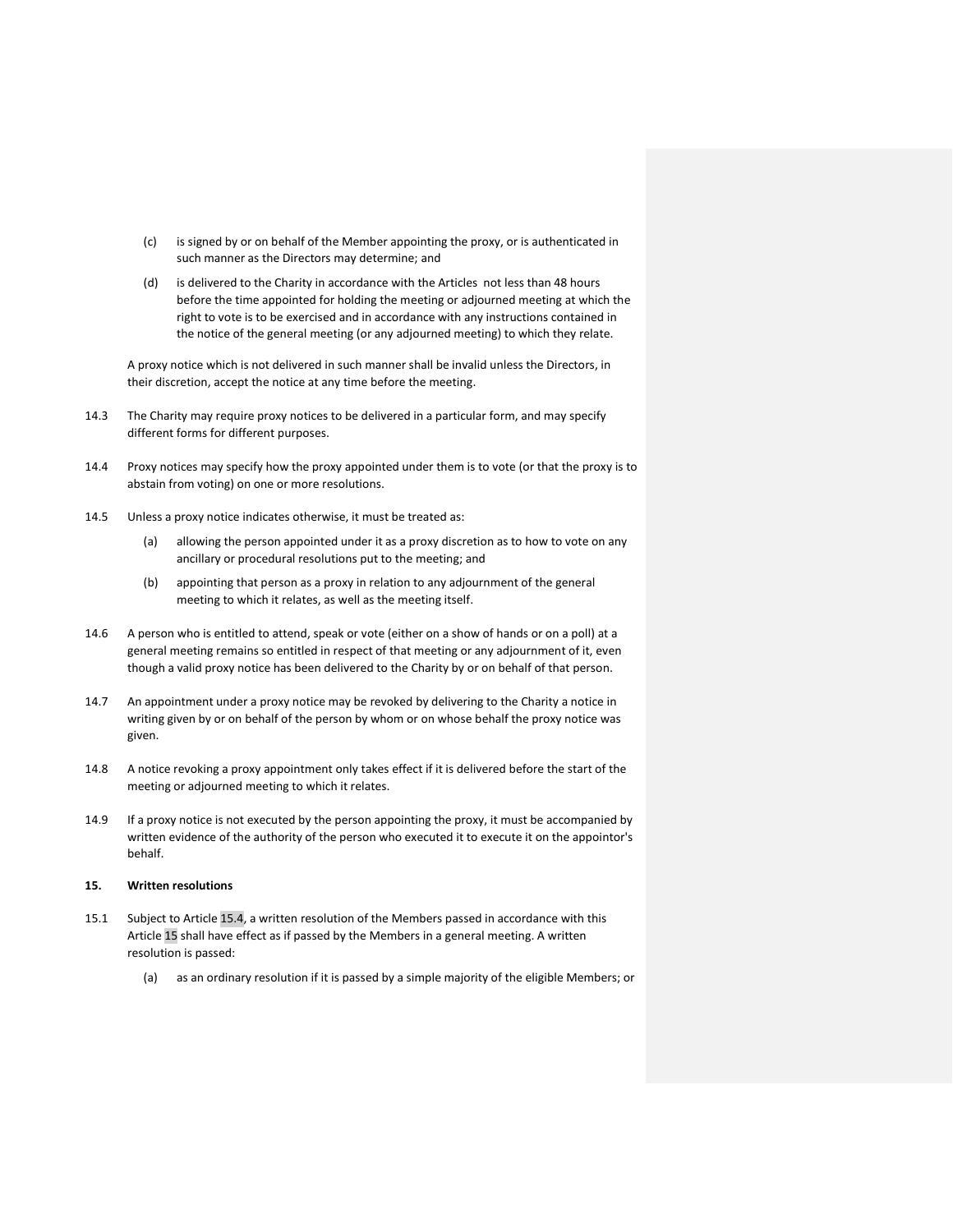- (c) is signed by or on behalf of the Member appointing the proxy, or is authenticated in such manner as the Directors may determine; and
- (d) is delivered to the Charity in accordance with the Articles not less than 48 hours before the time appointed for holding the meeting or adjourned meeting at which the right to vote is to be exercised and in accordance with any instructions contained in the notice of the general meeting (or any adjourned meeting) to which they relate.

A proxy notice which is not delivered in such manner shall be invalid unless the Directors, in their discretion, accept the notice at any time before the meeting.

- 14.3 The Charity may require proxy notices to be delivered in a particular form, and may specify different forms for different purposes.
- 14.4 Proxy notices may specify how the proxy appointed under them is to vote (or that the proxy is to abstain from voting) on one or more resolutions.
- 14.5 Unless a proxy notice indicates otherwise, it must be treated as:
	- (a) allowing the person appointed under it as a proxy discretion as to how to vote on any ancillary or procedural resolutions put to the meeting; and
	- (b) appointing that person as a proxy in relation to any adjournment of the general meeting to which it relates, as well as the meeting itself.
- 14.6 A person who is entitled to attend, speak or vote (either on a show of hands or on a poll) at a general meeting remains so entitled in respect of that meeting or any adjournment of it, even though a valid proxy notice has been delivered to the Charity by or on behalf of that person.
- 14.7 An appointment under a proxy notice may be revoked by delivering to the Charity a notice in writing given by or on behalf of the person by whom or on whose behalf the proxy notice was given.
- 14.8 A notice revoking a proxy appointment only takes effect if it is delivered before the start of the meeting or adjourned meeting to which it relates.
- 14.9 If a proxy notice is not executed by the person appointing the proxy, it must be accompanied by written evidence of the authority of the person who executed it to execute it on the appointor's behalf.

### <span id="page-15-0"></span>**15. Written resolutions**

- 15.1 Subject to Article [15.4,](#page-16-0) a written resolution of the Members passed in accordance with this Article [15](#page-15-0) shall have effect as if passed by the Members in a general meeting. A written resolution is passed:
	- (a) as an ordinary resolution if it is passed by a simple majority of the eligible Members; or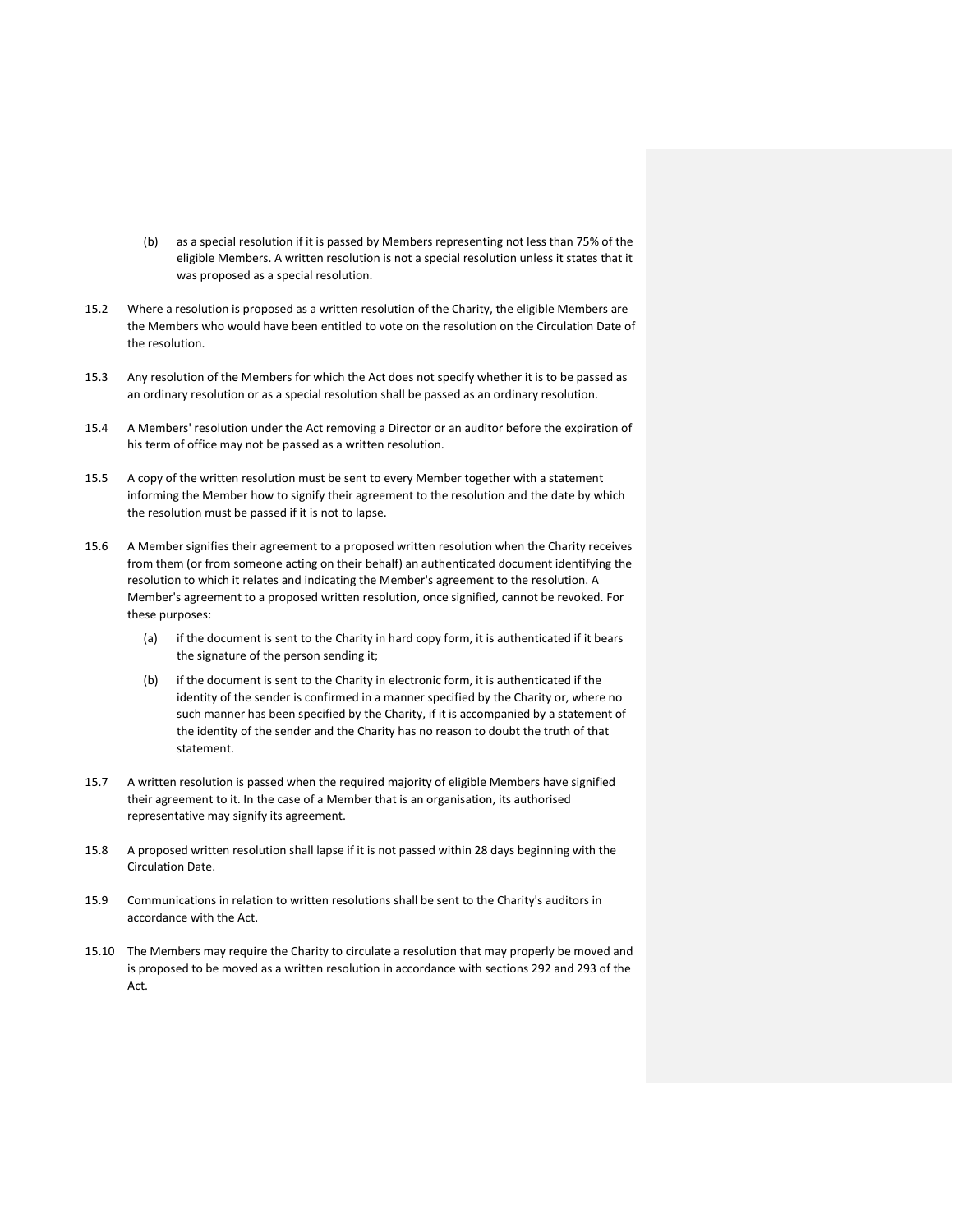- (b) as a special resolution if it is passed by Members representing not less than 75% of the eligible Members. A written resolution is not a special resolution unless it states that it was proposed as a special resolution.
- 15.2 Where a resolution is proposed as a written resolution of the Charity, the eligible Members are the Members who would have been entitled to vote on the resolution on the Circulation Date of the resolution.
- 15.3 Any resolution of the Members for which the Act does not specify whether it is to be passed as an ordinary resolution or as a special resolution shall be passed as an ordinary resolution.
- <span id="page-16-0"></span>15.4 A Members' resolution under the Act removing a Director or an auditor before the expiration of his term of office may not be passed as a written resolution.
- 15.5 A copy of the written resolution must be sent to every Member together with a statement informing the Member how to signify their agreement to the resolution and the date by which the resolution must be passed if it is not to lapse.
- 15.6 A Member signifies their agreement to a proposed written resolution when the Charity receives from them (or from someone acting on their behalf) an authenticated document identifying the resolution to which it relates and indicating the Member's agreement to the resolution. A Member's agreement to a proposed written resolution, once signified, cannot be revoked. For these purposes:
	- (a) if the document is sent to the Charity in hard copy form, it is authenticated if it bears the signature of the person sending it;
	- (b) if the document is sent to the Charity in electronic form, it is authenticated if the identity of the sender is confirmed in a manner specified by the Charity or, where no such manner has been specified by the Charity, if it is accompanied by a statement of the identity of the sender and the Charity has no reason to doubt the truth of that statement.
- 15.7 A written resolution is passed when the required majority of eligible Members have signified their agreement to it. In the case of a Member that is an organisation, its authorised representative may signify its agreement.
- 15.8 A proposed written resolution shall lapse if it is not passed within 28 days beginning with the Circulation Date.
- 15.9 Communications in relation to written resolutions shall be sent to the Charity's auditors in accordance with the Act.
- 15.10 The Members may require the Charity to circulate a resolution that may properly be moved and is proposed to be moved as a written resolution in accordance with sections 292 and 293 of the Act.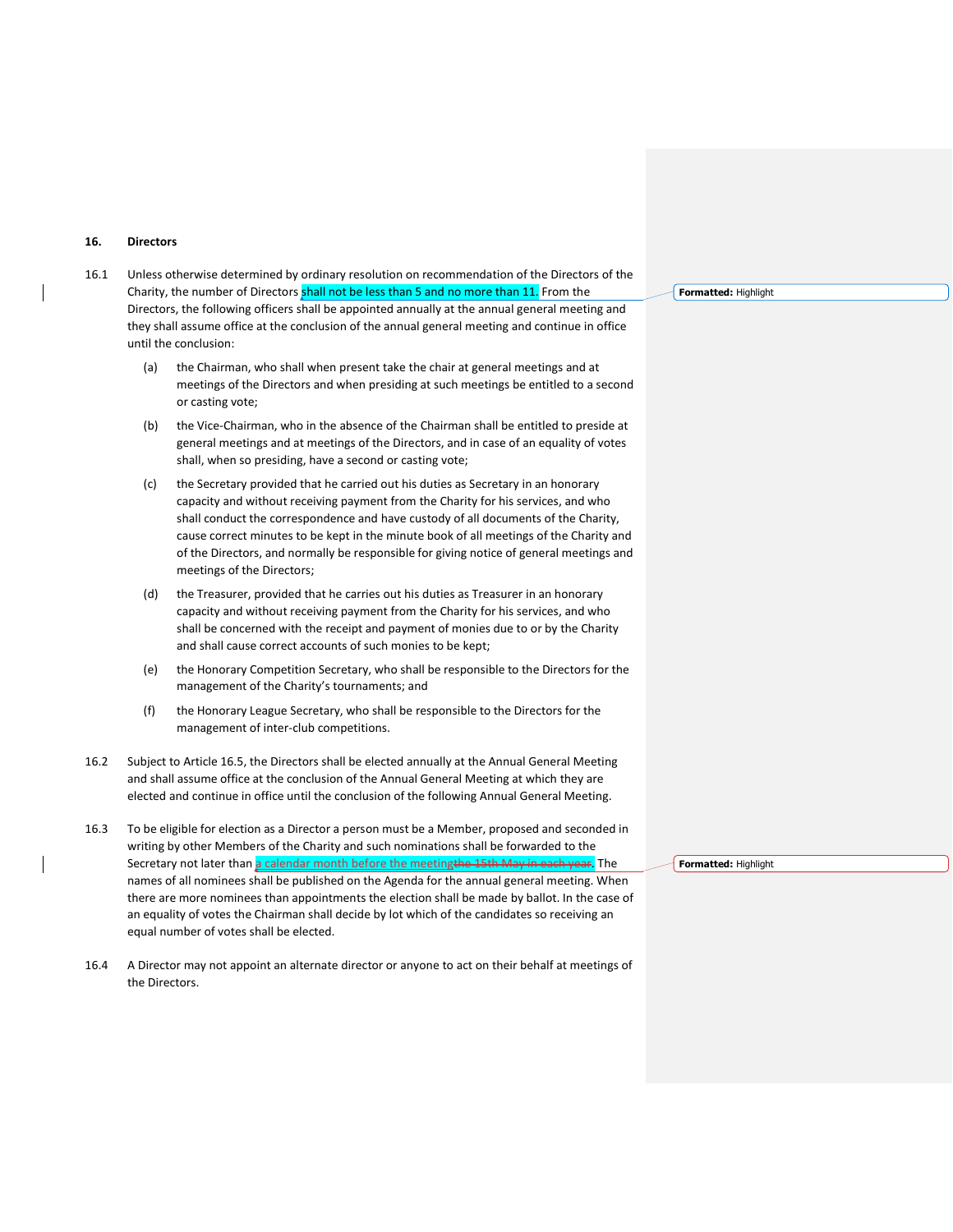#### **16. Directors**

- 16.1 Unless otherwise determined by ordinary resolution on recommendation of the Directors of the Charity, the number of Directors shall not be less than 5 and no more than 11. From the Directors, the following officers shall be appointed annually at the annual general meeting and they shall assume office at the conclusion of the annual general meeting and continue in office until the conclusion:
	- (a) the Chairman, who shall when present take the chair at general meetings and at meetings of the Directors and when presiding at such meetings be entitled to a second or casting vote;
	- (b) the Vice-Chairman, who in the absence of the Chairman shall be entitled to preside at general meetings and at meetings of the Directors, and in case of an equality of votes shall, when so presiding, have a second or casting vote;
	- (c) the Secretary provided that he carried out his duties as Secretary in an honorary capacity and without receiving payment from the Charity for his services, and who shall conduct the correspondence and have custody of all documents of the Charity, cause correct minutes to be kept in the minute book of all meetings of the Charity and of the Directors, and normally be responsible for giving notice of general meetings and meetings of the Directors;
	- (d) the Treasurer, provided that he carries out his duties as Treasurer in an honorary capacity and without receiving payment from the Charity for his services, and who shall be concerned with the receipt and payment of monies due to or by the Charity and shall cause correct accounts of such monies to be kept;
	- (e) the Honorary Competition Secretary, who shall be responsible to the Directors for the management of the Charity's tournaments; and
	- (f) the Honorary League Secretary, who shall be responsible to the Directors for the management of inter-club competitions.
- 16.2 Subject to Article 16.5, the Directors shall be elected annually at the Annual General Meeting and shall assume office at the conclusion of the Annual General Meeting at which they are elected and continue in office until the conclusion of the following Annual General Meeting.
- 16.3 To be eligible for election as a Director a person must be a Member, proposed and seconded in writing by other Members of the Charity and such nominations shall be forwarded to the Secretary not later than a calendar month before the meetingthe 15th May in each year. The names of all nominees shall be published on the Agenda for the annual general meeting. When there are more nominees than appointments the election shall be made by ballot. In the case of an equality of votes the Chairman shall decide by lot which of the candidates so receiving an equal number of votes shall be elected.
- 16.4 A Director may not appoint an alternate director or anyone to act on their behalf at meetings of the Directors.

**Formatted:** Highlight

**Formatted:** Highlight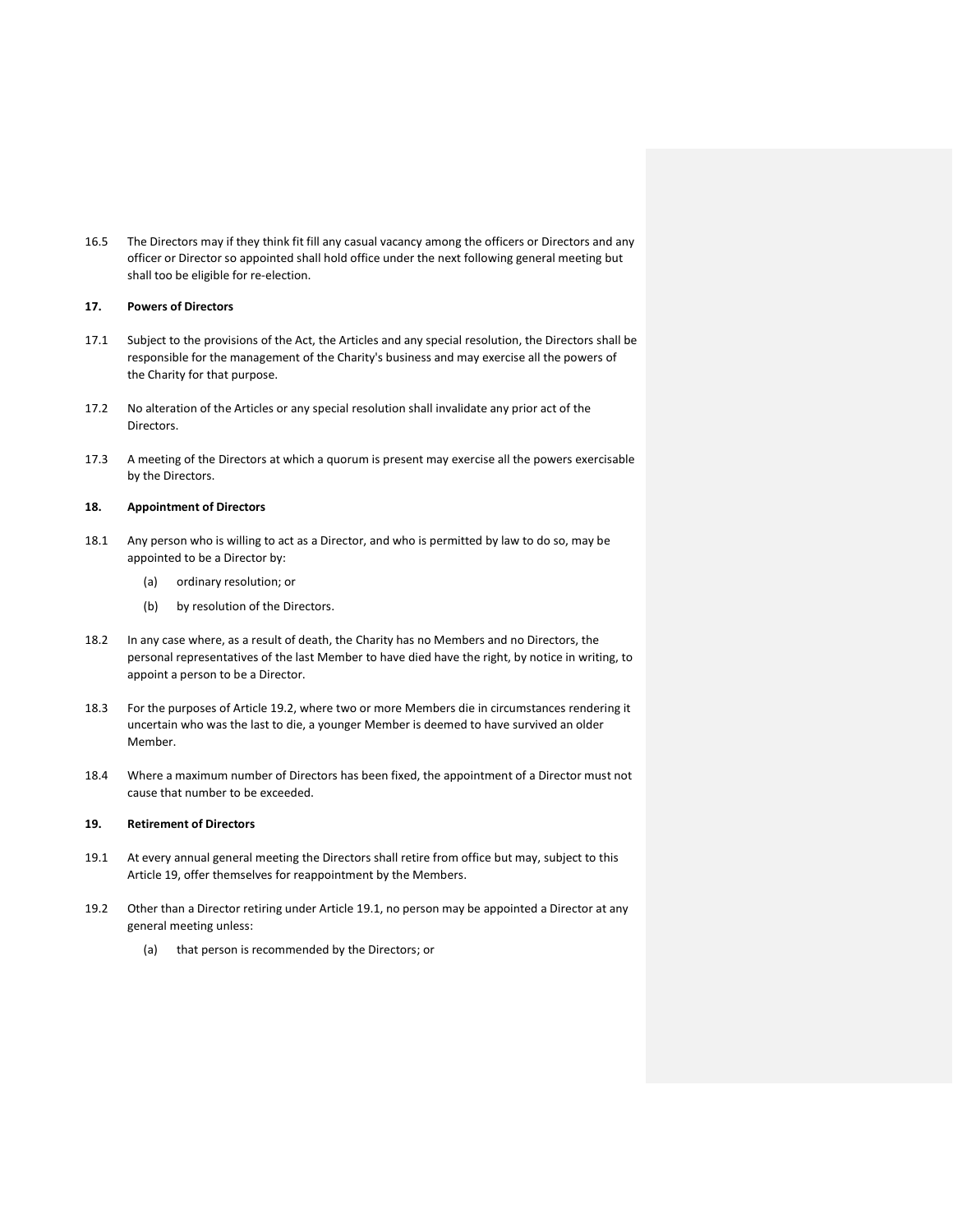16.5 The Directors may if they think fit fill any casual vacancy among the officers or Directors and any officer or Director so appointed shall hold office under the next following general meeting but shall too be eligible for re-election.

## **17. Powers of Directors**

- 17.1 Subject to the provisions of the Act, the Articles and any special resolution, the Directors shall be responsible for the management of the Charity's business and may exercise all the powers of the Charity for that purpose.
- 17.2 No alteration of the Articles or any special resolution shall invalidate any prior act of the **Directors**
- 17.3 A meeting of the Directors at which a quorum is present may exercise all the powers exercisable by the Directors.

### **18. Appointment of Directors**

- 18.1 Any person who is willing to act as a Director, and who is permitted by law to do so, may be appointed to be a Director by:
	- (a) ordinary resolution; or
	- (b) by resolution of the Directors.
- 18.2 In any case where, as a result of death, the Charity has no Members and no Directors, the personal representatives of the last Member to have died have the right, by notice in writing, to appoint a person to be a Director.
- 18.3 For the purposes of Article 19.2, where two or more Members die in circumstances rendering it uncertain who was the last to die, a younger Member is deemed to have survived an older Member.
- 18.4 Where a maximum number of Directors has been fixed, the appointment of a Director must not cause that number to be exceeded.

## <span id="page-18-0"></span>**19. Retirement of Directors**

- 19.1 At every annual general meeting the Directors shall retire from office but may, subject to this Article [19,](#page-18-0) offer themselves for reappointment by the Members.
- 19.2 Other than a Director retiring under Article 19.1, no person may be appointed a Director at any general meeting unless:
	- (a) that person is recommended by the Directors; or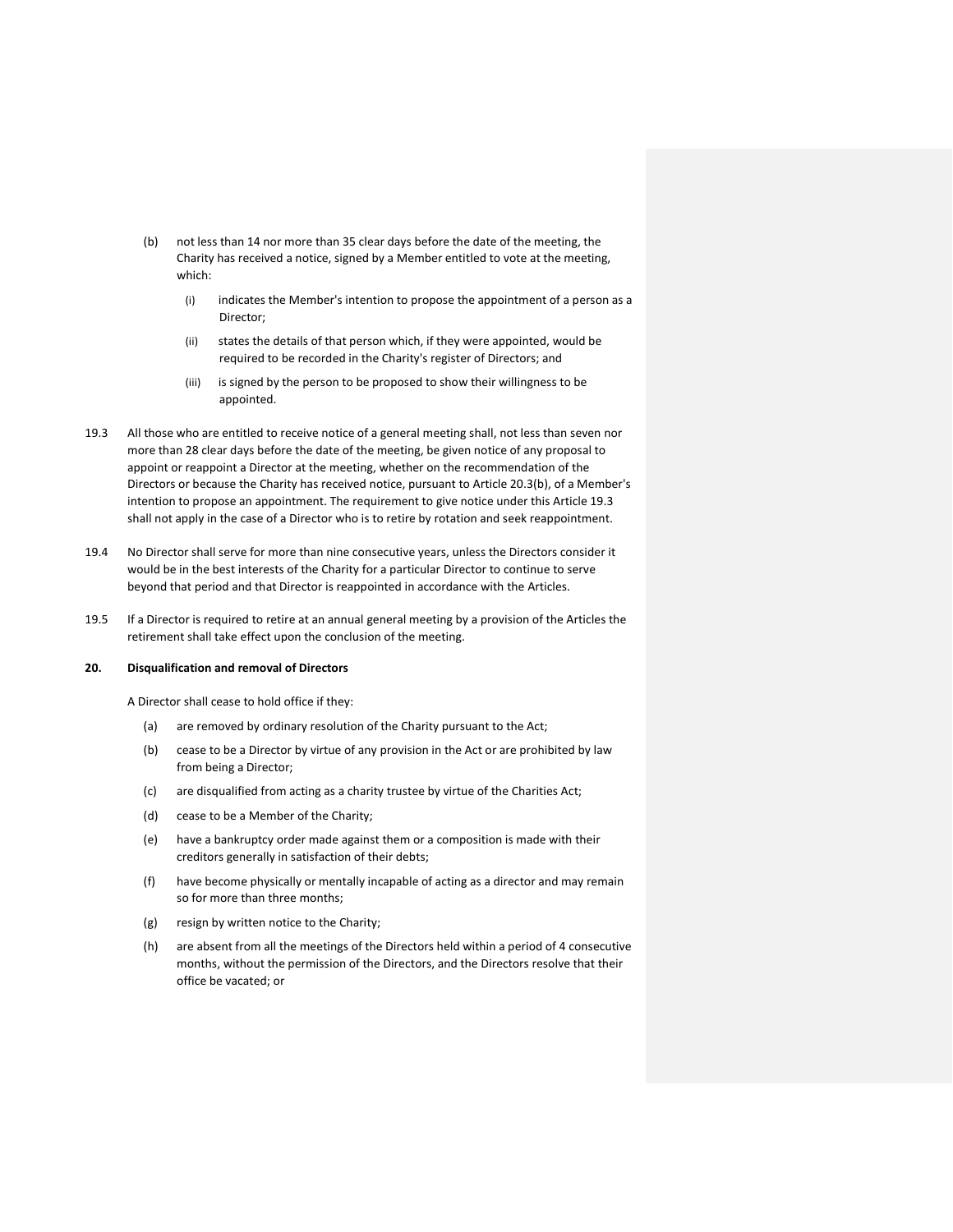- (b) not less than 14 nor more than 35 clear days before the date of the meeting, the Charity has received a notice, signed by a Member entitled to vote at the meeting, which:
	- (i) indicates the Member's intention to propose the appointment of a person as a Director;
	- (ii) states the details of that person which, if they were appointed, would be required to be recorded in the Charity's register of Directors; and
	- (iii) is signed by the person to be proposed to show their willingness to be appointed.
- 19.3 All those who are entitled to receive notice of a general meeting shall, not less than seven nor more than 28 clear days before the date of the meeting, be given notice of any proposal to appoint or reappoint a Director at the meeting, whether on the recommendation of the Directors or because the Charity has received notice, pursuant to Article 20.3(b), of a Member's intention to propose an appointment. The requirement to give notice under this Article 19.3 shall not apply in the case of a Director who is to retire by rotation and seek reappointment.
- 19.4 No Director shall serve for more than nine consecutive years, unless the Directors consider it would be in the best interests of the Charity for a particular Director to continue to serve beyond that period and that Director is reappointed in accordance with the Articles.
- 19.5 If a Director is required to retire at an annual general meeting by a provision of the Articles the retirement shall take effect upon the conclusion of the meeting.

#### **20. Disqualification and removal of Directors**

A Director shall cease to hold office if they:

- (a) are removed by ordinary resolution of the Charity pursuant to the Act;
- (b) cease to be a Director by virtue of any provision in the Act or are prohibited by law from being a Director;
- (c) are disqualified from acting as a charity trustee by virtue of the Charities Act;
- (d) cease to be a Member of the Charity;
- (e) have a bankruptcy order made against them or a composition is made with their creditors generally in satisfaction of their debts;
- (f) have become physically or mentally incapable of acting as a director and may remain so for more than three months;
- (g) resign by written notice to the Charity;
- (h) are absent from all the meetings of the Directors held within a period of 4 consecutive months, without the permission of the Directors, and the Directors resolve that their office be vacated; or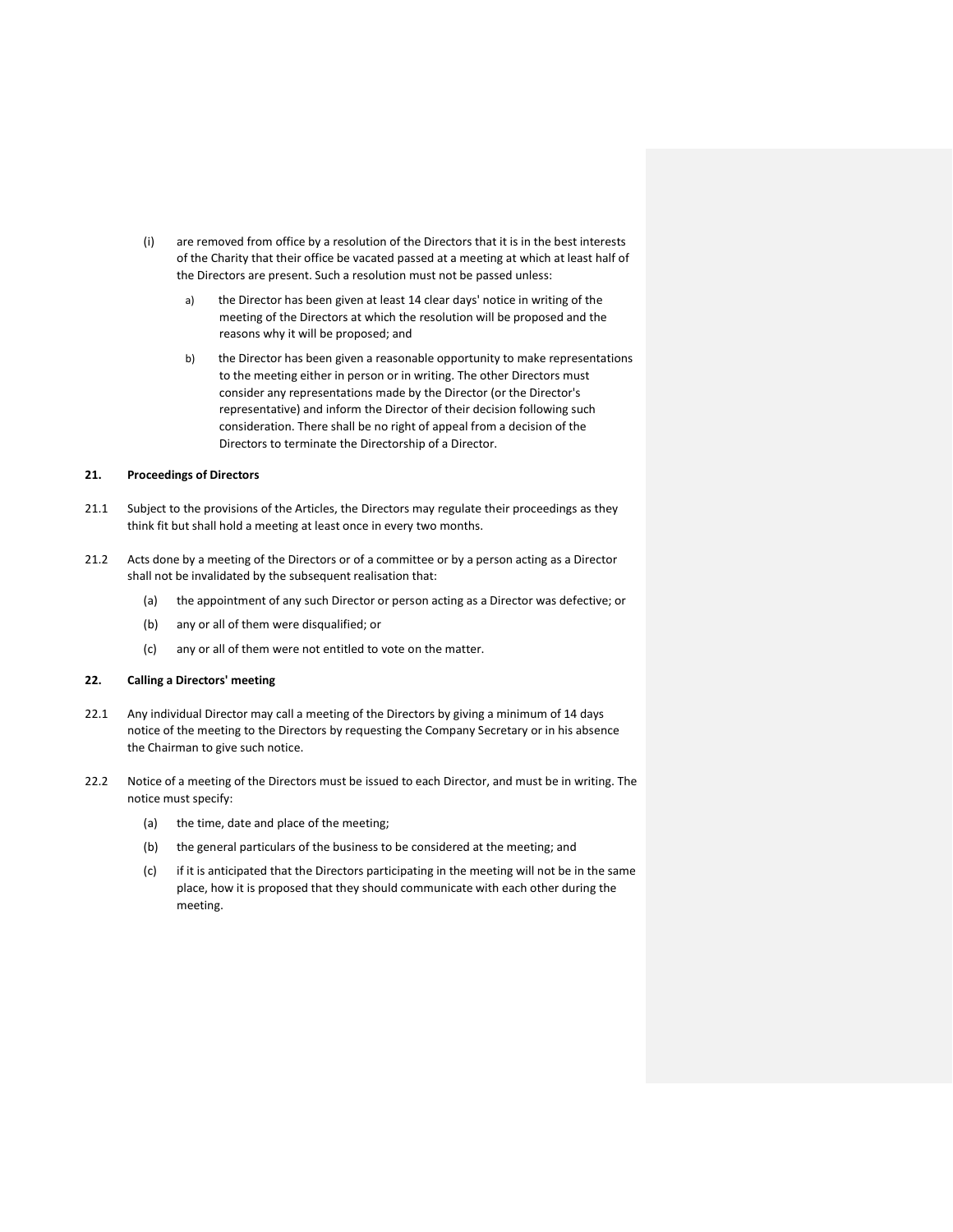- (i) are removed from office by a resolution of the Directors that it is in the best interests of the Charity that their office be vacated passed at a meeting at which at least half of the Directors are present. Such a resolution must not be passed unless:
	- a) the Director has been given at least 14 clear days' notice in writing of the meeting of the Directors at which the resolution will be proposed and the reasons why it will be proposed; and
	- b) the Director has been given a reasonable opportunity to make representations to the meeting either in person or in writing. The other Directors must consider any representations made by the Director (or the Director's representative) and inform the Director of their decision following such consideration. There shall be no right of appeal from a decision of the Directors to terminate the Directorship of a Director.

### **21. Proceedings of Directors**

- 21.1 Subject to the provisions of the Articles, the Directors may regulate their proceedings as they think fit but shall hold a meeting at least once in every two months.
- 21.2 Acts done by a meeting of the Directors or of a committee or by a person acting as a Director shall not be invalidated by the subsequent realisation that:
	- (a) the appointment of any such Director or person acting as a Director was defective; or
	- (b) any or all of them were disqualified; or
	- (c) any or all of them were not entitled to vote on the matter.

### **22. Calling a Directors' meeting**

- 22.1 Any individual Director may call a meeting of the Directors by giving a minimum of 14 days notice of the meeting to the Directors by requesting the Company Secretary or in his absence the Chairman to give such notice.
- 22.2 Notice of a meeting of the Directors must be issued to each Director, and must be in writing. The notice must specify:
	- (a) the time, date and place of the meeting;
	- (b) the general particulars of the business to be considered at the meeting; and
	- (c) if it is anticipated that the Directors participating in the meeting will not be in the same place, how it is proposed that they should communicate with each other during the meeting.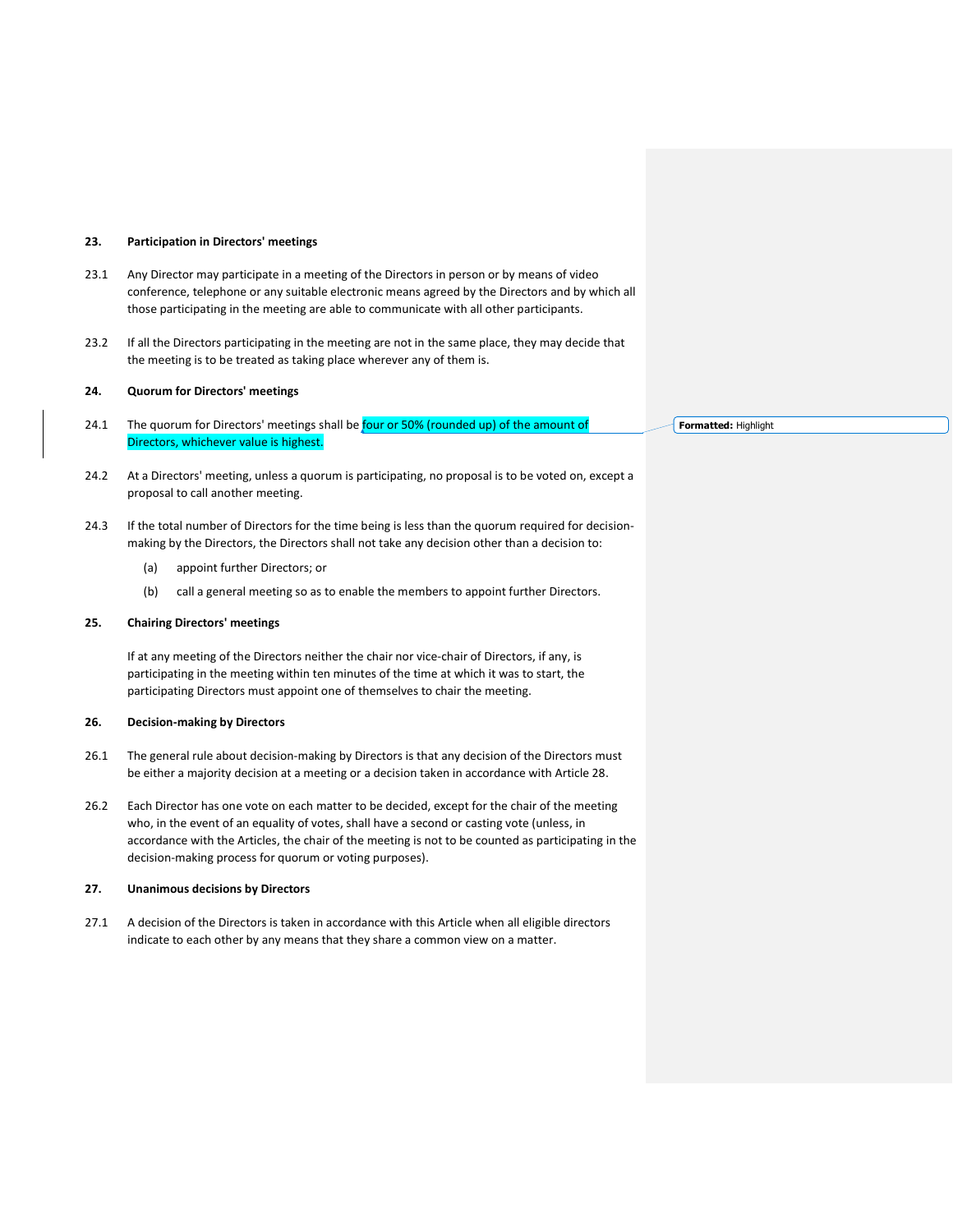### **23. Participation in Directors' meetings**

- 23.1 Any Director may participate in a meeting of the Directors in person or by means of video conference, telephone or any suitable electronic means agreed by the Directors and by which all those participating in the meeting are able to communicate with all other participants.
- 23.2 If all the Directors participating in the meeting are not in the same place, they may decide that the meeting is to be treated as taking place wherever any of them is.

### **24. Quorum for Directors' meetings**

- 24.1 The quorum for Directors' meetings shall be four or 50% (rounded up) of the amount of Directors, whichever value is highest.
- 24.2 At a Directors' meeting, unless a quorum is participating, no proposal is to be voted on, except a proposal to call another meeting.
- 24.3 If the total number of Directors for the time being is less than the quorum required for decisionmaking by the Directors, the Directors shall not take any decision other than a decision to:
	- (a) appoint further Directors; or
	- (b) call a general meeting so as to enable the members to appoint further Directors.

# **25. Chairing Directors' meetings**

If at any meeting of the Directors neither the chair nor vice-chair of Directors, if any, is participating in the meeting within ten minutes of the time at which it was to start, the participating Directors must appoint one of themselves to chair the meeting.

### **26. Decision-making by Directors**

- 26.1 The general rule about decision-making by Directors is that any decision of the Directors must be either a majority decision at a meeting or a decision taken in accordance with Article 28.
- 26.2 Each Director has one vote on each matter to be decided, except for the chair of the meeting who, in the event of an equality of votes, shall have a second or casting vote (unless, in accordance with the Articles, the chair of the meeting is not to be counted as participating in the decision-making process for quorum or voting purposes).

### **27. Unanimous decisions by Directors**

27.1 A decision of the Directors is taken in accordance with this Article when all eligible directors indicate to each other by any means that they share a common view on a matter.

**Formatted:** Highlight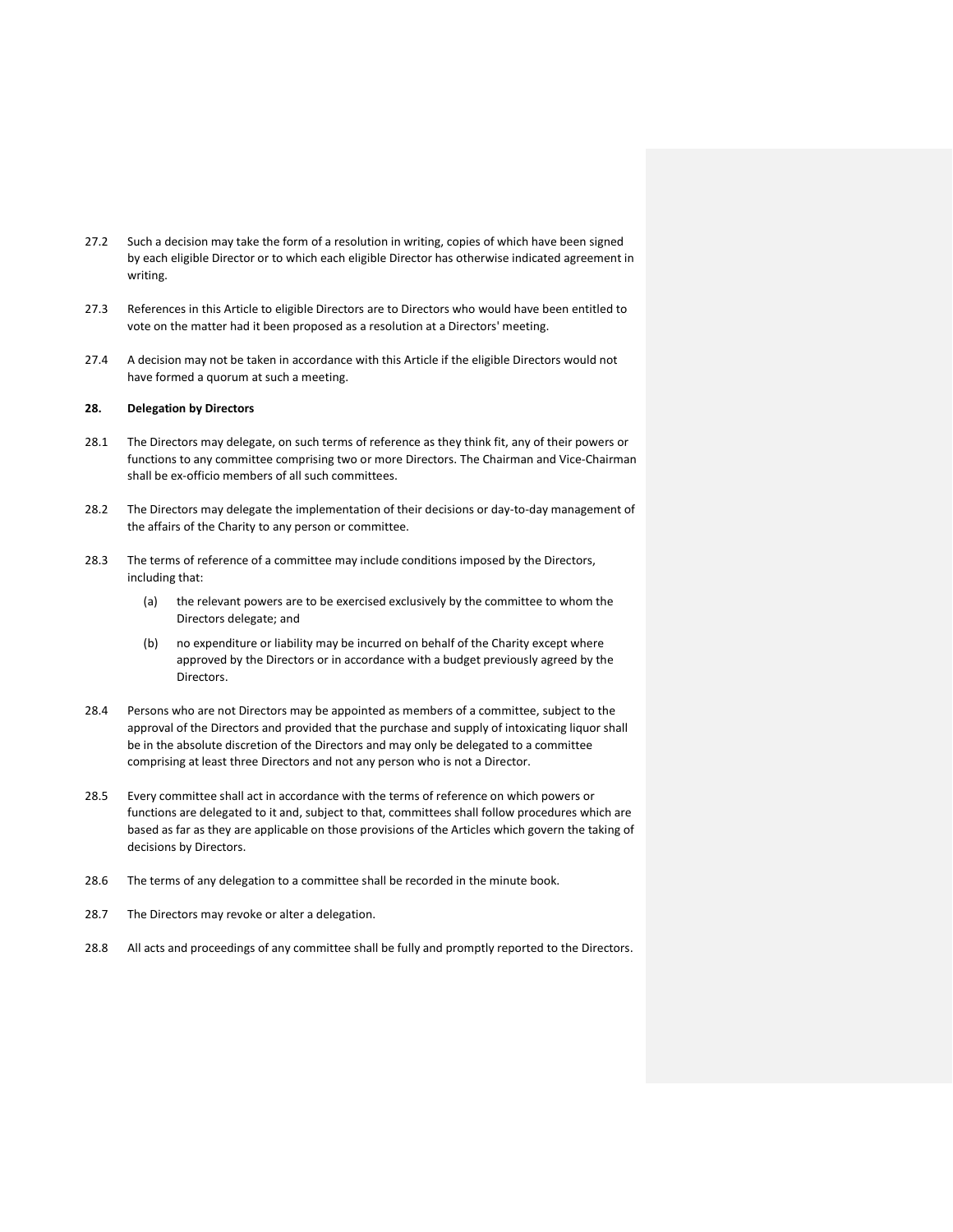- 27.2 Such a decision may take the form of a resolution in writing, copies of which have been signed by each eligible Director or to which each eligible Director has otherwise indicated agreement in writing.
- 27.3 References in this Article to eligible Directors are to Directors who would have been entitled to vote on the matter had it been proposed as a resolution at a Directors' meeting.
- 27.4 A decision may not be taken in accordance with this Article if the eligible Directors would not have formed a quorum at such a meeting.

### **28. Delegation by Directors**

- 28.1 The Directors may delegate, on such terms of reference as they think fit, any of their powers or functions to any committee comprising two or more Directors. The Chairman and Vice-Chairman shall be ex-officio members of all such committees.
- 28.2 The Directors may delegate the implementation of their decisions or day-to-day management of the affairs of the Charity to any person or committee.
- 28.3 The terms of reference of a committee may include conditions imposed by the Directors, including that:
	- (a) the relevant powers are to be exercised exclusively by the committee to whom the Directors delegate; and
	- (b) no expenditure or liability may be incurred on behalf of the Charity except where approved by the Directors or in accordance with a budget previously agreed by the Directors.
- 28.4 Persons who are not Directors may be appointed as members of a committee, subject to the approval of the Directors and provided that the purchase and supply of intoxicating liquor shall be in the absolute discretion of the Directors and may only be delegated to a committee comprising at least three Directors and not any person who is not a Director.
- 28.5 Every committee shall act in accordance with the terms of reference on which powers or functions are delegated to it and, subject to that, committees shall follow procedures which are based as far as they are applicable on those provisions of the Articles which govern the taking of decisions by Directors.
- 28.6 The terms of any delegation to a committee shall be recorded in the minute book.
- 28.7 The Directors may revoke or alter a delegation.
- 28.8 All acts and proceedings of any committee shall be fully and promptly reported to the Directors.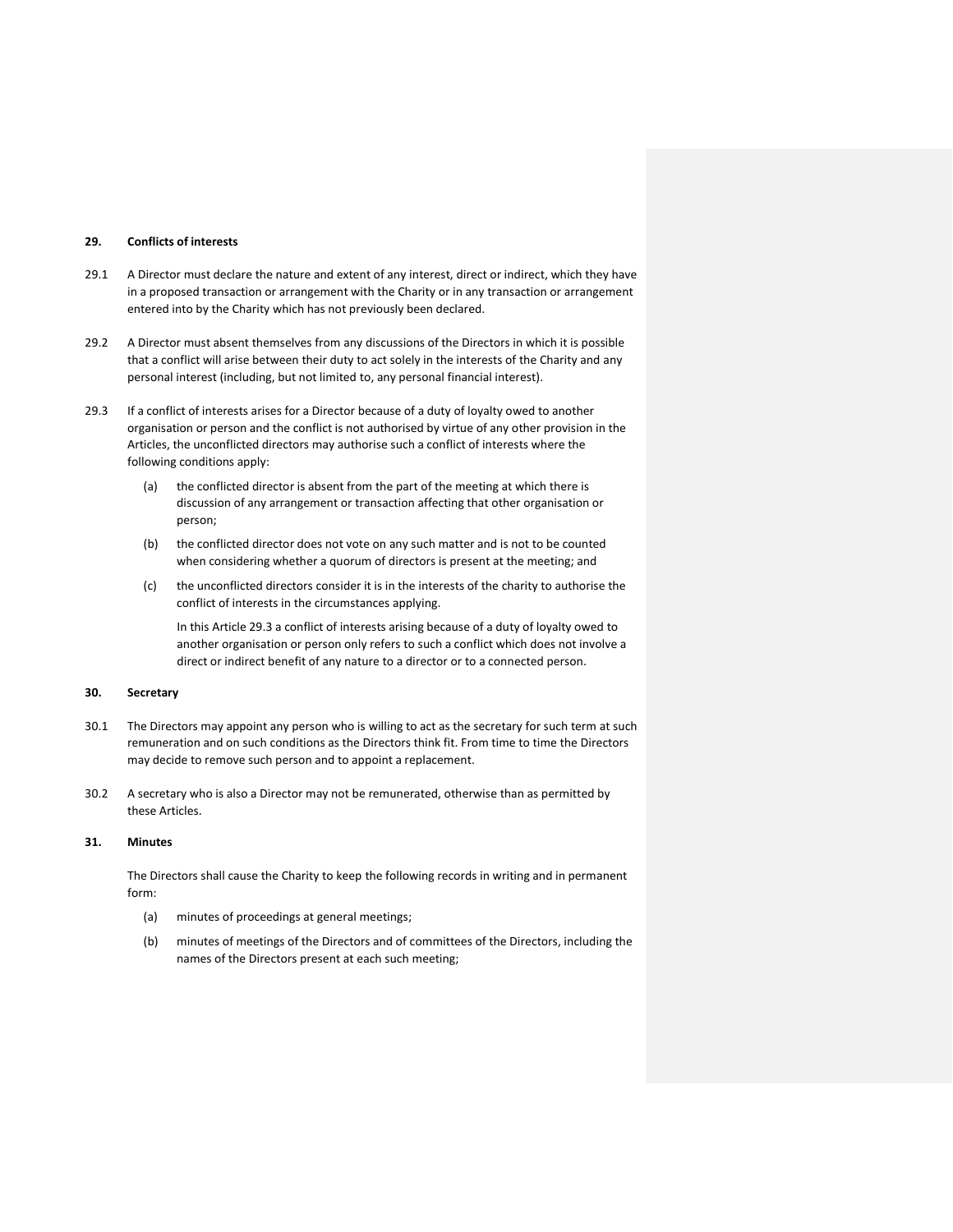### **29. Conflicts of interests**

- 29.1 A Director must declare the nature and extent of any interest, direct or indirect, which they have in a proposed transaction or arrangement with the Charity or in any transaction or arrangement entered into by the Charity which has not previously been declared.
- 29.2 A Director must absent themselves from any discussions of the Directors in which it is possible that a conflict will arise between their duty to act solely in the interests of the Charity and any personal interest (including, but not limited to, any personal financial interest).
- 29.3 If a conflict of interests arises for a Director because of a duty of loyalty owed to another organisation or person and the conflict is not authorised by virtue of any other provision in the Articles, the unconflicted directors may authorise such a conflict of interests where the following conditions apply:
	- (a) the conflicted director is absent from the part of the meeting at which there is discussion of any arrangement or transaction affecting that other organisation or person;
	- (b) the conflicted director does not vote on any such matter and is not to be counted when considering whether a quorum of directors is present at the meeting; and
	- (c) the unconflicted directors consider it is in the interests of the charity to authorise the conflict of interests in the circumstances applying.

In this Article 29.3 a conflict of interests arising because of a duty of loyalty owed to another organisation or person only refers to such a conflict which does not involve a direct or indirect benefit of any nature to a director or to a connected person.

#### **30. Secretary**

- 30.1 The Directors may appoint any person who is willing to act as the secretary for such term at such remuneration and on such conditions as the Directors think fit. From time to time the Directors may decide to remove such person and to appoint a replacement.
- 30.2 A secretary who is also a Director may not be remunerated, otherwise than as permitted by these Articles.

#### **31. Minutes**

The Directors shall cause the Charity to keep the following records in writing and in permanent form:

- (a) minutes of proceedings at general meetings;
- (b) minutes of meetings of the Directors and of committees of the Directors, including the names of the Directors present at each such meeting;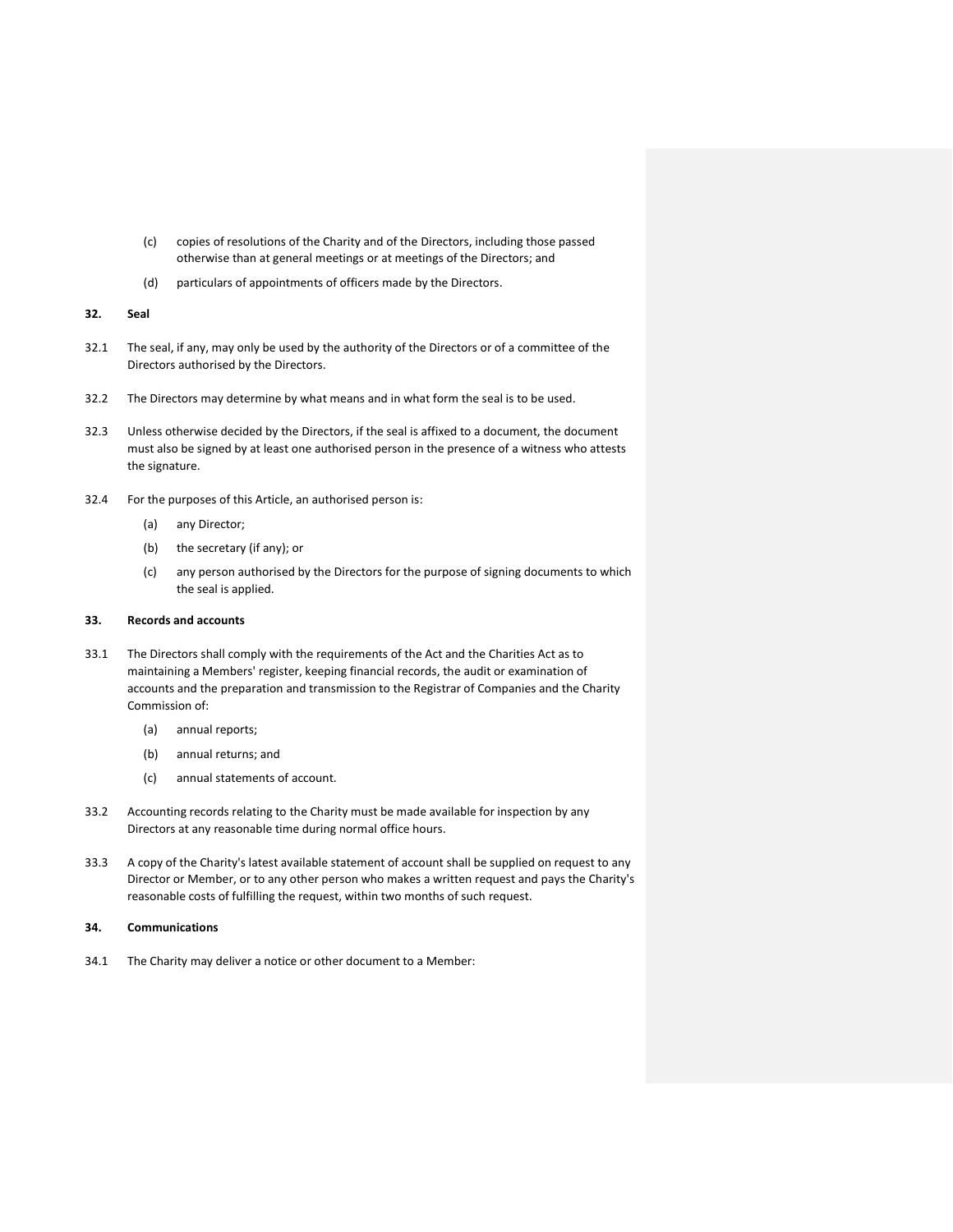- (c) copies of resolutions of the Charity and of the Directors, including those passed otherwise than at general meetings or at meetings of the Directors; and
- (d) particulars of appointments of officers made by the Directors.

# **32. Seal**

- 32.1 The seal, if any, may only be used by the authority of the Directors or of a committee of the Directors authorised by the Directors.
- 32.2 The Directors may determine by what means and in what form the seal is to be used.
- 32.3 Unless otherwise decided by the Directors, if the seal is affixed to a document, the document must also be signed by at least one authorised person in the presence of a witness who attests the signature.
- 32.4 For the purposes of this Article, an authorised person is:
	- (a) any Director;
	- (b) the secretary (if any); or
	- (c) any person authorised by the Directors for the purpose of signing documents to which the seal is applied.

### **33. Records and accounts**

- 33.1 The Directors shall comply with the requirements of the Act and the Charities Act as to maintaining a Members' register, keeping financial records, the audit or examination of accounts and the preparation and transmission to the Registrar of Companies and the Charity Commission of:
	- (a) annual reports;
	- (b) annual returns; and
	- (c) annual statements of account.
- 33.2 Accounting records relating to the Charity must be made available for inspection by any Directors at any reasonable time during normal office hours.
- 33.3 A copy of the Charity's latest available statement of account shall be supplied on request to any Director or Member, or to any other person who makes a written request and pays the Charity's reasonable costs of fulfilling the request, within two months of such request.
- **34. Communications**
- 34.1 The Charity may deliver a notice or other document to a Member: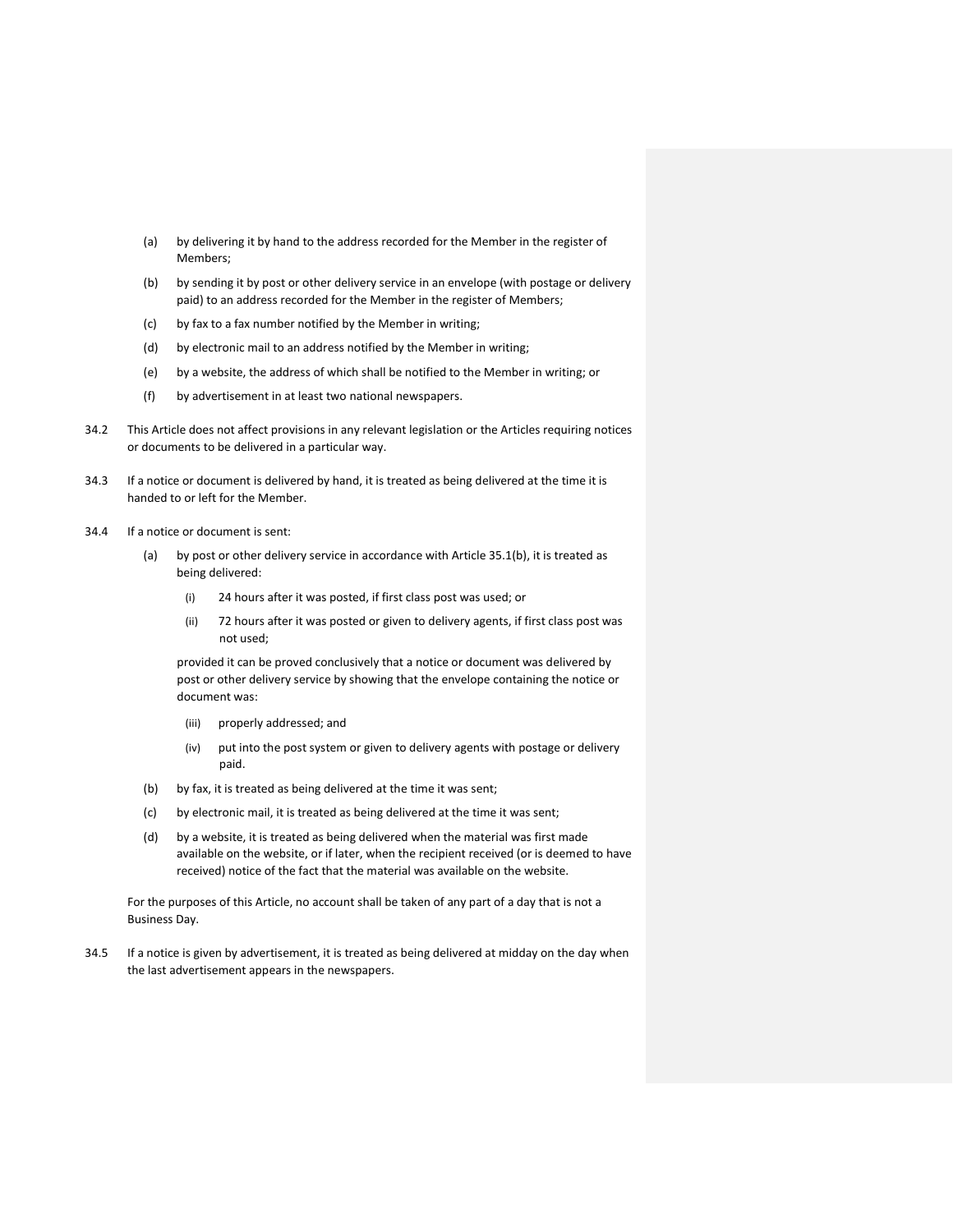- (a) by delivering it by hand to the address recorded for the Member in the register of Members;
- (b) by sending it by post or other delivery service in an envelope (with postage or delivery paid) to an address recorded for the Member in the register of Members;
- (c) by fax to a fax number notified by the Member in writing;
- (d) by electronic mail to an address notified by the Member in writing;
- (e) by a website, the address of which shall be notified to the Member in writing; or
- (f) by advertisement in at least two national newspapers.
- 34.2 This Article does not affect provisions in any relevant legislation or the Articles requiring notices or documents to be delivered in a particular way.
- 34.3 If a notice or document is delivered by hand, it is treated as being delivered at the time it is handed to or left for the Member.
- 34.4 If a notice or document is sent:
	- (a) by post or other delivery service in accordance with Article 35.1(b), it is treated as being delivered:
		- (i) 24 hours after it was posted, if first class post was used; or
		- (ii) 72 hours after it was posted or given to delivery agents, if first class post was not used;

provided it can be proved conclusively that a notice or document was delivered by post or other delivery service by showing that the envelope containing the notice or document was:

- (iii) properly addressed; and
- (iv) put into the post system or given to delivery agents with postage or delivery paid.
- (b) by fax, it is treated as being delivered at the time it was sent;
- (c) by electronic mail, it is treated as being delivered at the time it was sent;
- (d) by a website, it is treated as being delivered when the material was first made available on the website, or if later, when the recipient received (or is deemed to have received) notice of the fact that the material was available on the website.

For the purposes of this Article, no account shall be taken of any part of a day that is not a Business Day.

34.5 If a notice is given by advertisement, it is treated as being delivered at midday on the day when the last advertisement appears in the newspapers.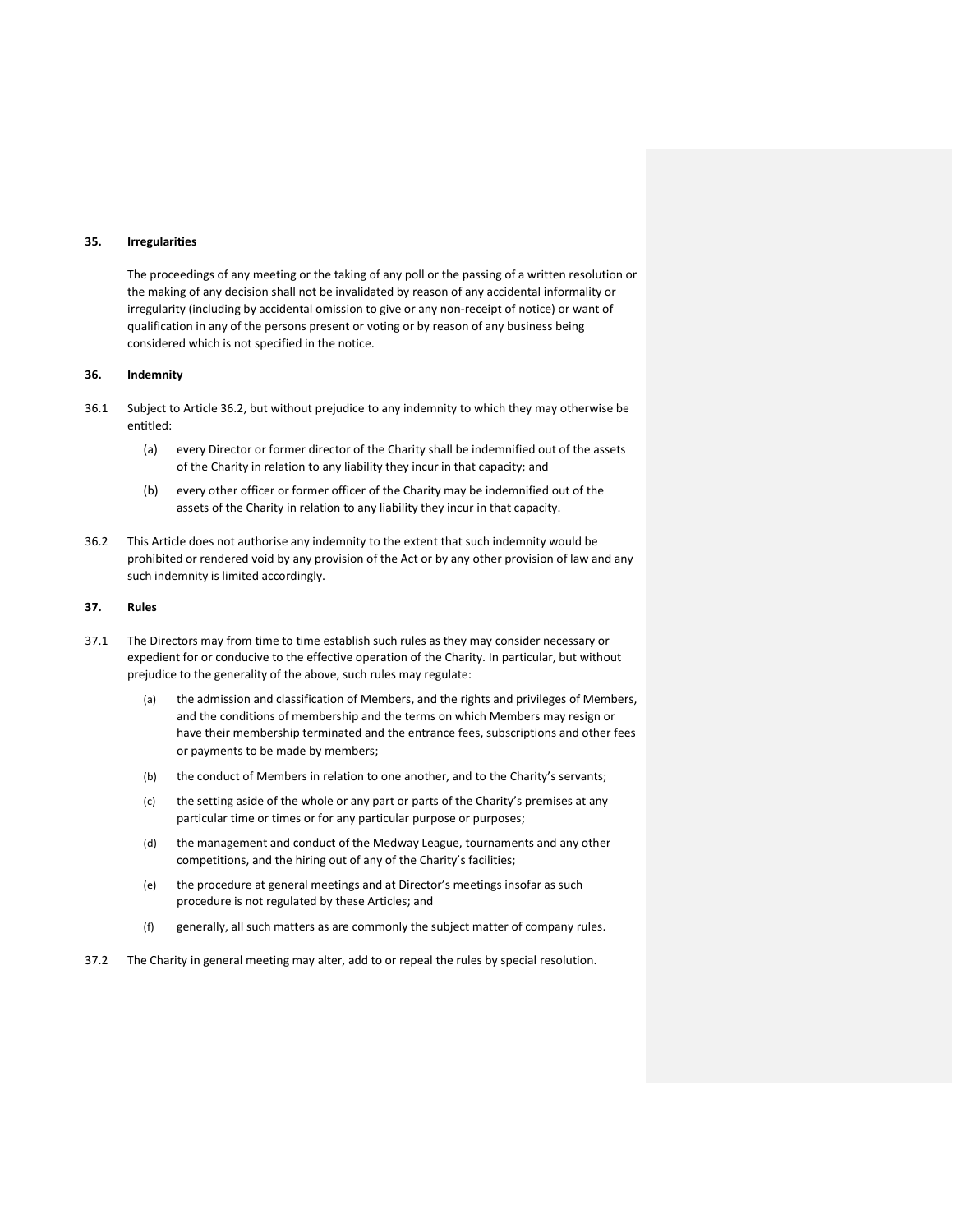### **35. Irregularities**

The proceedings of any meeting or the taking of any poll or the passing of a written resolution or the making of any decision shall not be invalidated by reason of any accidental informality or irregularity (including by accidental omission to give or any non-receipt of notice) or want of qualification in any of the persons present or voting or by reason of any business being considered which is not specified in the notice.

# **36. Indemnity**

- 36.1 Subject to Article 36.2, but without prejudice to any indemnity to which they may otherwise be entitled:
	- (a) every Director or former director of the Charity shall be indemnified out of the assets of the Charity in relation to any liability they incur in that capacity; and
	- (b) every other officer or former officer of the Charity may be indemnified out of the assets of the Charity in relation to any liability they incur in that capacity.
- 36.2 This Article does not authorise any indemnity to the extent that such indemnity would be prohibited or rendered void by any provision of the Act or by any other provision of law and any such indemnity is limited accordingly.

### **37. Rules**

- 37.1 The Directors may from time to time establish such rules as they may consider necessary or expedient for or conducive to the effective operation of the Charity. In particular, but without prejudice to the generality of the above, such rules may regulate:
	- (a) the admission and classification of Members, and the rights and privileges of Members, and the conditions of membership and the terms on which Members may resign or have their membership terminated and the entrance fees, subscriptions and other fees or payments to be made by members;
	- (b) the conduct of Members in relation to one another, and to the Charity's servants;
	- (c) the setting aside of the whole or any part or parts of the Charity's premises at any particular time or times or for any particular purpose or purposes;
	- (d) the management and conduct of the Medway League, tournaments and any other competitions, and the hiring out of any of the Charity's facilities;
	- (e) the procedure at general meetings and at Director's meetings insofar as such procedure is not regulated by these Articles; and
	- (f) generally, all such matters as are commonly the subject matter of company rules.
- 37.2 The Charity in general meeting may alter, add to or repeal the rules by special resolution.